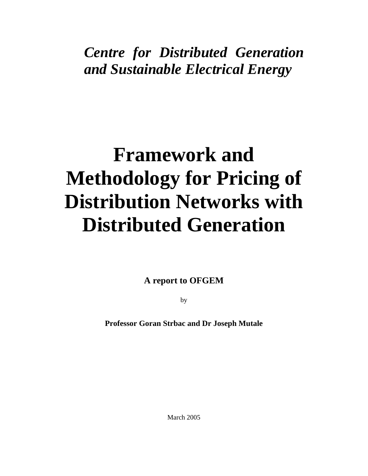# *Centre for Distributed Generation and Sustainable Electrical Energy*

# **Framework and Methodology for Pricing of Distribution Networks with Distributed Generation**

**A report to OFGEM** 

by

**Professor Goran Strbac and Dr Joseph Mutale** 

March 2005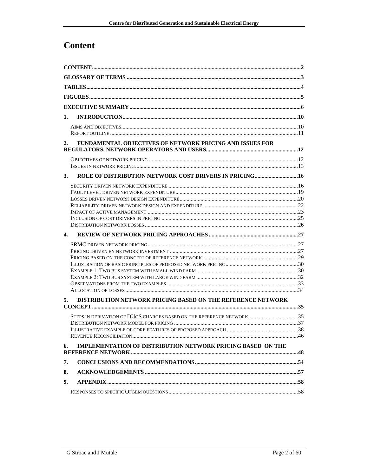# **Content**

| 1. |                                                                       |  |
|----|-----------------------------------------------------------------------|--|
|    |                                                                       |  |
|    |                                                                       |  |
| 2. | FUNDAMENTAL OBJECTIVES OF NETWORK PRICING AND ISSUES FOR              |  |
|    |                                                                       |  |
|    |                                                                       |  |
| 3. | <b>ROLE OF DISTRIBUTION NETWORK COST DRIVERS IN PRICING 16</b>        |  |
|    |                                                                       |  |
|    |                                                                       |  |
|    |                                                                       |  |
|    |                                                                       |  |
|    |                                                                       |  |
|    |                                                                       |  |
|    |                                                                       |  |
| 4. |                                                                       |  |
|    |                                                                       |  |
|    |                                                                       |  |
|    |                                                                       |  |
|    |                                                                       |  |
|    |                                                                       |  |
|    |                                                                       |  |
|    |                                                                       |  |
| 5. | DISTRIBUTION NETWORK PRICING BASED ON THE REFERENCE NETWORK           |  |
|    |                                                                       |  |
|    |                                                                       |  |
|    | STEPS IN DERIVATION OF DUOS CHARGES BASED ON THE REFERENCE NETWORK 35 |  |
|    |                                                                       |  |
|    |                                                                       |  |
| 6. | <b>IMPLEMENTATION OF DISTRIBUTION NETWORK PRICING BASED ON THE</b>    |  |
| 7. |                                                                       |  |
| 8. |                                                                       |  |
| 9. |                                                                       |  |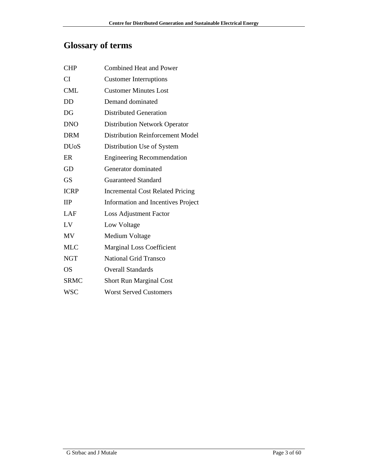# **Glossary of terms**

| <b>CHP</b>             | Combined Heat and Power                 |
|------------------------|-----------------------------------------|
| CI                     | <b>Customer Interruptions</b>           |
| <b>CML</b>             | <b>Customer Minutes Lost</b>            |
| DD                     | Demand dominated                        |
| DG                     | <b>Distributed Generation</b>           |
| <b>DNO</b>             | <b>Distribution Network Operator</b>    |
| <b>DRM</b>             | <b>Distribution Reinforcement Model</b> |
| <b>DU<sub>o</sub>S</b> | Distribution Use of System              |
| ER                     | <b>Engineering Recommendation</b>       |
| GD                     | Generator dominated                     |
| <b>GS</b>              | <b>Guaranteed Standard</b>              |
| <b>ICRP</b>            | <b>Incremental Cost Related Pricing</b> |
| $\mathbf{H}$           | Information and Incentives Project      |
| LAF                    | <b>Loss Adjustment Factor</b>           |
| LV                     | Low Voltage                             |
| MV                     | Medium Voltage                          |
| <b>MLC</b>             | Marginal Loss Coefficient               |
| <b>NGT</b>             | <b>National Grid Transco</b>            |
| OS                     | <b>Overall Standards</b>                |
| <b>SRMC</b>            | <b>Short Run Marginal Cost</b>          |
| <b>WSC</b>             | <b>Worst Served Customers</b>           |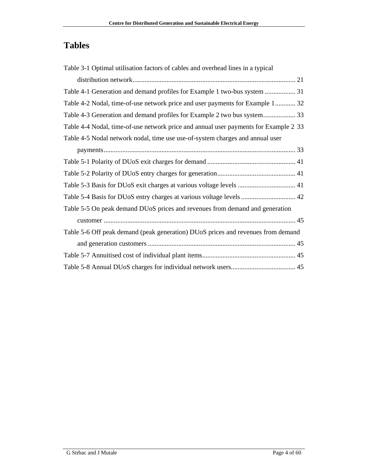# **Tables**

| Table 3-1 Optimal utilisation factors of cables and overhead lines in a typical      |
|--------------------------------------------------------------------------------------|
|                                                                                      |
| Table 4-1 Generation and demand profiles for Example 1 two-bus system  31            |
| Table 4-2 Nodal, time-of-use network price and user payments for Example 1 32        |
|                                                                                      |
| Table 4-4 Nodal, time-of-use network price and annual user payments for Example 2 33 |
| Table 4-5 Nodal network nodal, time use use-of-system charges and annual user        |
|                                                                                      |
|                                                                                      |
|                                                                                      |
| Table 5-3 Basis for DUoS exit charges at various voltage levels  41                  |
|                                                                                      |
| Table 5-5 On peak demand DUoS prices and revenues from demand and generation         |
|                                                                                      |
| Table 5-6 Off peak demand (peak generation) DUoS prices and revenues from demand     |
|                                                                                      |
|                                                                                      |
|                                                                                      |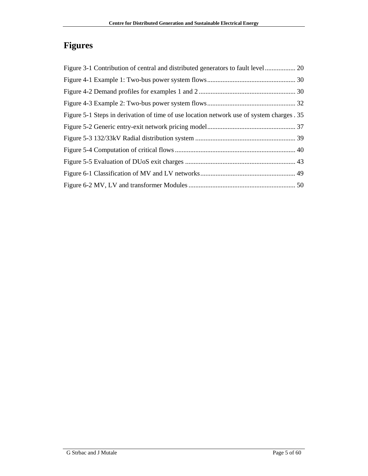# **Figures**

| Figure 5-1 Steps in derivation of time of use location network use of system charges 35 |  |
|-----------------------------------------------------------------------------------------|--|
|                                                                                         |  |
|                                                                                         |  |
|                                                                                         |  |
|                                                                                         |  |
|                                                                                         |  |
|                                                                                         |  |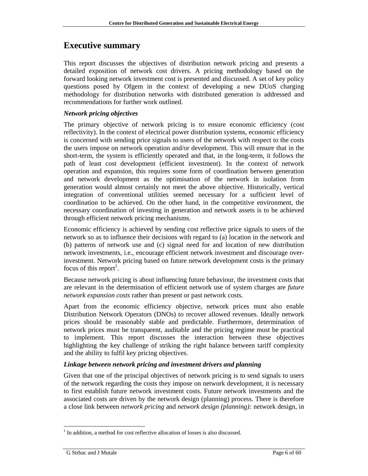# **Executive summary**

This report discusses the objectives of distribution network pricing and presents a detailed exposition of network cost drivers. A pricing methodology based on the forward looking network investment cost is presented and discussed. A set of key policy questions posed by Ofgem in the context of developing a new DUoS charging methodology for distribution networks with distributed generation is addressed and recommendations for further work outlined.

#### *Network pricing objectives*

The primary objective of network pricing is to ensure economic efficiency (cost reflectivity). In the context of electrical power distribution systems, economic efficiency is concerned with sending price signals to users of the network with respect to the costs the users impose on network operation and/or development. This will ensure that in the short-term, the system is efficiently operated and that, in the long-term, it follows the path of least cost development (efficient investment). In the context of network operation and expansion, this requires some form of coordination between generation and network development as the optimisation of the network in isolation from generation would almost certainly not meet the above objective. Historically, vertical integration of conventional utilities seemed necessary for a sufficient level of coordination to be achieved. On the other hand, in the competitive environment, the necessary coordination of investing in generation and network assets is to be achieved through efficient network pricing mechanisms.

Economic efficiency is achieved by sending cost reflective price signals to users of the network so as to influence their decisions with regard to (a) location in the network and (b) patterns of network use and (c) signal need for and location of new distribution network investments, i.e., encourage efficient network investment and discourage overinvestment. Network pricing based on future network development costs is the primary focus of this report<sup>1</sup>.

Because network pricing is about influencing future behaviour, the investment costs that are relevant in the determination of efficient network use of system charges are *future network expansion costs* rather than present or past network costs.

Apart from the economic efficiency objective, network prices must also enable Distribution Network Operators (DNOs) to recover allowed revenues. Ideally network prices should be reasonably stable and predictable. Furthermore, determination of network prices must be transparent, auditable and the pricing regime must be practical to implement. This report discusses the interaction between these objectives highlighting the key challenge of striking the right balance between tariff complexity and the ability to fulfil key pricing objectives.

#### *Linkage between network pricing and investment drivers and planning*

Given that one of the principal objectives of network pricing is to send signals to users of the network regarding the costs they impose on network development, it is necessary to first establish future network investment costs. Future network investments and the associated costs are driven by the network design (planning) process. There is therefore a close link between *network pricing* and *network design (planning):* network design, in

<sup>&</sup>lt;sup>1</sup> In addition, a method for cost reflective allocation of losses is also discussed.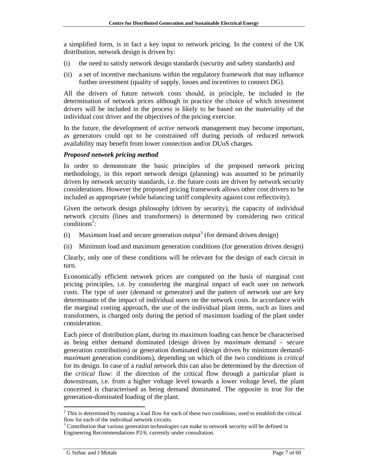a simplified form, is in fact a key input to network pricing. In the context of the UK distribution, network design is driven by:

- (i) the need to satisfy network design standards (security and safety standards) and
- (ii) a set of incentive mechanisms within the regulatory framework that may influence further investment (quality of supply, losses and incentives to connect DG).

All the drivers of future network costs should, in principle, be included in the determination of network prices although in practice the choice of which investment drivers will be included in the process is likely to be based on the materiality of the individual cost driver and the objectives of the pricing exercise.

In the future, the development of *active* network management may become important, as generators could opt to be constrained off during periods of reduced network availability may benefit from lower connection and/or DUoS charges.

#### *Proposed network pricing method*

In order to demonstrate the basic principles of the proposed network pricing methodology, in this report network design (planning) was assumed to be primarily driven by network security standards, i.e. the future costs are driven by network security considerations. However the proposed pricing framework allows other cost drivers to be included as appropriate (while balancing tariff complexity against cost reflectivity).

Given the network design philosophy (driven by security), the capacity of individual network circuits (lines and transformers) is determined by considering two critical  $conditions<sup>2</sup>$ :

- (i) Maximum load and secure generation output<sup>3</sup> (for demand driven design)
- (ii) Minimum load and maximum generation conditions (for generation driven design)

Clearly, only one of these conditions will be relevant for the design of each circuit in turn.

Economically efficient network prices are computed on the basis of marginal cost pricing principles, i.e. by considering the marginal impact of each user on network costs. The type of user (demand or generator) and the pattern of network use are key determinants of the impact of individual users on the network costs. In accordance with the marginal costing approach, the use of the individual plant items, such as lines and transformers, is charged only during the period of maximum loading of the plant under consideration.

Each piece of distribution plant, during its maximum loading can hence be characterised as being either demand dominated (design driven by *maximum* demand – secure generation contribution) or generation dominated (design driven by minimum demand*maximum* generation conditions), depending on which of the two conditions is *critical* for its design. In case of a *radial* network this can also be determined by the direction of the *critical* flow: if the direction of the critical flow through a particular plant is downstream, i.e. from a higher voltage level towards a lower voltage level, the plant concerned is characterised as being demand dominated. The opposite is true for the generation-dominated loading of the plant.

 $2^2$  This is determined by running a load flow for each of these two conditions, used to establish the critical flow for each of the individual network circuits.

 $3$  Contribution that various generation technologies can make to network security will be defined in Engineering Recommendations P2/6, currently under consultation.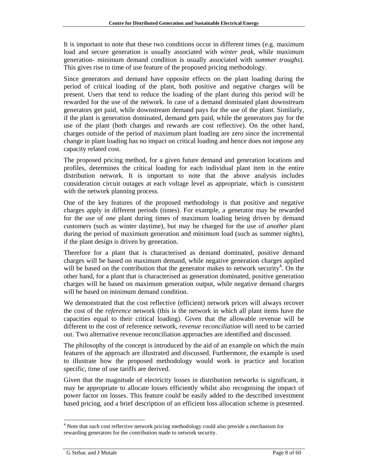It is important to note that these two conditions occur in different times (e.g. maximum load and secure generation is usually associated with *winter peak*, while maximum generation- minimum demand condition is usually associated with *summer troughs*). This gives rise to time of use feature of the proposed pricing methodology.

Since generators and demand have opposite effects on the plant loading during the period of critical loading of the plant, both positive and negative charges will be present. Users that tend to reduce the loading of the plant during this period will be rewarded for the use of the network. In case of a demand dominated plant downstream generators get paid, while downstream demand pays for the use of the plant. Similarly, if the plant is generation dominated, demand gets paid, while the generators pay for the use of the plant (both charges and rewards are cost reflective). On the other hand, charges outside of the period of maximum plant loading are zero since the incremental change in plant loading has no impact on critical loading and hence does not impose any capacity related cost.

The proposed pricing method, for a given future demand and generation locations and profiles, determines the critical loading for each individual plant item in the entire distribution network. It is important to note that the above analysis includes consideration circuit outages at each voltage level as appropriate, which is consistent with the network planning process.

One of the key features of the proposed methodology is that positive and negative charges apply in different periods (times). For example, a generator may be rewarded for the use of *one* plant during times of maximum loading being driven by demand customers (such as winter daytime), but may be charged for the use of *another* plant during the period of maximum generation and minimum load (such as summer nights), if the plant design is driven by generation.

Therefore for a plant that is characterised as demand dominated, positive demand charges will be based on maximum demand, while negative generation charges applied will be based on the contribution that the generator makes to network security<sup>4</sup>. On the other hand, for a plant that is characterised as generation dominated, positive generation charges will be based on maximum generation output, while negative demand charges will be based on minimum demand condition.

We demonstrated that the cost reflective (efficient) network prices will always recover the cost of the *reference* network (this is the network in which all plant items have the capacities equal to their critical loading). Given that the allowable revenue will be different to the cost of reference network, *revenue reconciliation* will need to be carried out. Two alternative revenue reconciliation approaches are identified and discussed.

The philosophy of the concept is introduced by the aid of an example on which the main features of the approach are illustrated and discussed. Furthermore, the example is used to illustrate how the proposed methodology would work in practice and location specific, time of use tariffs are derived.

Given that the magnitude of electricity losses in distribution networks is significant, it may be appropriate to allocate losses efficiently whilst also recognising the impact of power factor on losses. This feature could be easily added to the described investment based pricing, and a brief description of an efficient loss allocation scheme is presented.

<sup>&</sup>lt;sup>4</sup> Note that such cost reflective network pricing methodology could also provide a mechanism for rewarding generators for the contribution made to network security.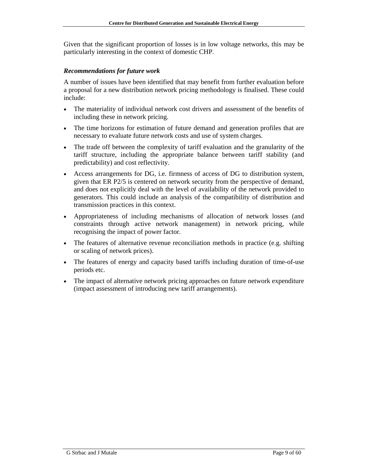Given that the significant proportion of losses is in low voltage networks, this may be particularly interesting in the context of domestic CHP.

#### *Recommendations for future work*

A number of issues have been identified that may benefit from further evaluation before a proposal for a new distribution network pricing methodology is finalised. These could include:

- The materiality of individual network cost drivers and assessment of the benefits of including these in network pricing.
- The time horizons for estimation of future demand and generation profiles that are necessary to evaluate future network costs and use of system charges.
- The trade off between the complexity of tariff evaluation and the granularity of the tariff structure, including the appropriate balance between tariff stability (and predictability) and cost reflectivity.
- Access arrangements for DG, i.e. firmness of access of DG to distribution system, given that ER P2/5 is centered on network security from the perspective of demand, and does not explicitly deal with the level of availability of the network provided to generators. This could include an analysis of the compatibility of distribution and transmission practices in this context.
- Appropriateness of including mechanisms of allocation of network losses (and constraints through active network management) in network pricing, while recognising the impact of power factor.
- The features of alternative revenue reconciliation methods in practice (e.g. shifting or scaling of network prices).
- The features of energy and capacity based tariffs including duration of time-of-use periods etc.
- The impact of alternative network pricing approaches on future network expenditure (impact assessment of introducing new tariff arrangements).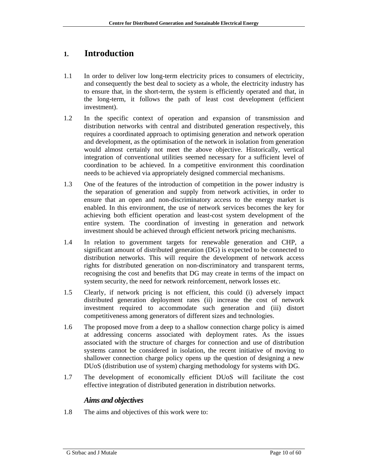# **1. Introduction**

- 1.1 In order to deliver low long-term electricity prices to consumers of electricity, and consequently the best deal to society as a whole, the electricity industry has to ensure that, in the short-term, the system is efficiently operated and that, in the long-term, it follows the path of least cost development (efficient investment).
- 1.2 In the specific context of operation and expansion of transmission and distribution networks with central and distributed generation respectively, this requires a coordinated approach to optimising generation and network operation and development, as the optimisation of the network in isolation from generation would almost certainly not meet the above objective. Historically, vertical integration of conventional utilities seemed necessary for a sufficient level of coordination to be achieved. In a competitive environment this coordination needs to be achieved via appropriately designed commercial mechanisms.
- 1.3 One of the features of the introduction of competition in the power industry is the separation of generation and supply from network activities, in order to ensure that an open and non-discriminatory access to the energy market is enabled. In this environment, the use of network services becomes the key for achieving both efficient operation and least-cost system development of the entire system. The coordination of investing in generation and network investment should be achieved through efficient network pricing mechanisms.
- 1.4 In relation to government targets for renewable generation and CHP, a significant amount of distributed generation (DG) is expected to be connected to distribution networks. This will require the development of network access rights for distributed generation on non-discriminatory and transparent terms, recognising the cost and benefits that DG may create in terms of the impact on system security, the need for network reinforcement, network losses etc.
- 1.5 Clearly, if network pricing is not efficient, this could (i) adversely impact distributed generation deployment rates (ii) increase the cost of network investment required to accommodate such generation and (iii) distort competitiveness among generators of different sizes and technologies.
- 1.6 The proposed move from a deep to a shallow connection charge policy is aimed at addressing concerns associated with deployment rates. As the issues associated with the structure of charges for connection and use of distribution systems cannot be considered in isolation, the recent initiative of moving to shallower connection charge policy opens up the question of designing a new DUoS (distribution use of system) charging methodology for systems with DG.
- 1.7 The development of economically efficient DUoS will facilitate the cost effective integration of distributed generation in distribution networks.

#### *Aims and objectives*

1.8 The aims and objectives of this work were to: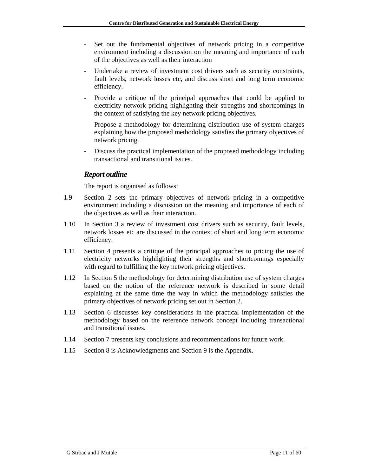- Set out the fundamental objectives of network pricing in a competitive environment including a discussion on the meaning and importance of each of the objectives as well as their interaction
- Undertake a review of investment cost drivers such as security constraints, fault levels, network losses etc, and discuss short and long term economic efficiency.
- Provide a critique of the principal approaches that could be applied to electricity network pricing highlighting their strengths and shortcomings in the context of satisfying the key network pricing objectives.
- Propose a methodology for determining distribution use of system charges explaining how the proposed methodology satisfies the primary objectives of network pricing.
- Discuss the practical implementation of the proposed methodology including transactional and transitional issues.

#### *Report outline*

The report is organised as follows:

- 1.9 Section 2 sets the primary objectives of network pricing in a competitive environment including a discussion on the meaning and importance of each of the objectives as well as their interaction.
- 1.10 In Section 3 a review of investment cost drivers such as security, fault levels, network losses etc are discussed in the context of short and long term economic efficiency.
- 1.11 Section 4 presents a critique of the principal approaches to pricing the use of electricity networks highlighting their strengths and shortcomings especially with regard to fulfilling the key network pricing objectives.
- 1.12 In Section 5 the methodology for determining distribution use of system charges based on the notion of the reference network is described in some detail explaining at the same time the way in which the methodology satisfies the primary objectives of network pricing set out in Section 2.
- 1.13 Section 6 discusses key considerations in the practical implementation of the methodology based on the reference network concept including transactional and transitional issues.
- 1.14 Section 7 presents key conclusions and recommendations for future work.
- 1.15 Section 8 is Acknowledgments and Section 9 is the Appendix.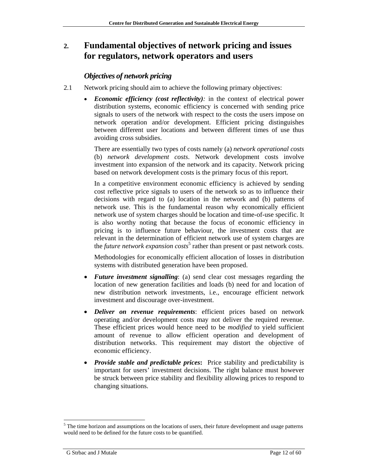# **2. Fundamental objectives of network pricing and issues for regulators, network operators and users**

#### *Objectives of network pricing*

- 2.1 Network pricing should aim to achieve the following primary objectives:
	- *Economic efficiency (cost reflectivity):* in the context of electrical power distribution systems, economic efficiency is concerned with sending price signals to users of the network with respect to the costs the users impose on network operation and/or development. Efficient pricing distinguishes between different user locations and between different times of use thus avoiding cross subsidies.

 There are essentially two types of costs namely (a) *network operational costs* (b) *network development costs*. Network development costs involve investment into expansion of the network and its capacity. Network pricing based on network development costs is the primary focus of this report.

 In a competitive environment economic efficiency is achieved by sending cost reflective price signals to users of the network so as to influence their decisions with regard to (a) location in the network and (b) patterns of network use. This is the fundamental reason why economically efficient network use of system charges should be location and time-of-use specific. It is also worthy noting that because the focus of economic efficiency in pricing is to influence future behaviour, the investment costs that are relevant in the determination of efficient network use of system charges are the *future network expansion costs*<sup>5</sup> rather than present or past network costs.

 Methodologies for economically efficient allocation of losses in distribution systems with distributed generation have been proposed.

- *Future investment signalling*: (a) send clear cost messages regarding the location of new generation facilities and loads (b) need for and location of new distribution network investments, i.e., encourage efficient network investment and discourage over-investment.
- *Deliver on revenue requirements*: efficient prices based on network operating and/or development costs may not deliver the required revenue. These efficient prices would hence need to be *modified* to yield sufficient amount of revenue to allow efficient operation and development of distribution networks. This requirement may distort the objective of economic efficiency.
- *Provide stable and predictable prices***:** Price stability and predictability is important for users' investment decisions. The right balance must however be struck between price stability and flexibility allowing prices to respond to changing situations.

 $<sup>5</sup>$  The time horizon and assumptions on the locations of users, their future development and usage patterns</sup> would need to be defined for the future costs to be quantified.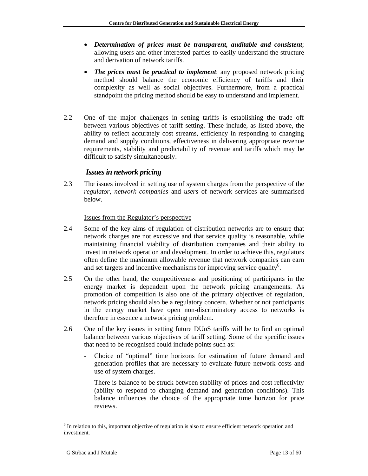- *Determination of prices must be transparent, auditable and consistent*; allowing users and other interested parties to easily understand the structure and derivation of network tariffs.
- *The prices must be practical to implement*: any proposed network pricing method should balance the economic efficiency of tariffs and their complexity as well as social objectives. Furthermore, from a practical standpoint the pricing method should be easy to understand and implement.
- 2.2 One of the major challenges in setting tariffs is establishing the trade off between various objectives of tariff setting. These include, as listed above, the ability to reflect accurately cost streams, efficiency in responding to changing demand and supply conditions, effectiveness in delivering appropriate revenue requirements, stability and predictability of revenue and tariffs which may be difficult to satisfy simultaneously.

#### *Issues in network pricing*

2.3 The issues involved in setting use of system charges from the perspective of the *regulator*, *network companies* and *users* of network services are summarised below.

#### Issues from the Regulator's perspective

- 2.4 Some of the key aims of regulation of distribution networks are to ensure that network charges are not excessive and that service quality is reasonable, while maintaining financial viability of distribution companies and their ability to invest in network operation and development. In order to achieve this, regulators often define the maximum allowable revenue that network companies can earn and set targets and incentive mechanisms for improving service quality<sup>6</sup>.
- 2.5 On the other hand, the competitiveness and positioning of participants in the energy market is dependent upon the network pricing arrangements. As promotion of competition is also one of the primary objectives of regulation, network pricing should also be a regulatory concern. Whether or not participants in the energy market have open non-discriminatory access to networks is therefore in essence a network pricing problem.
- 2.6 One of the key issues in setting future DUoS tariffs will be to find an optimal balance between various objectives of tariff setting. Some of the specific issues that need to be recognised could include points such as:
	- Choice of "optimal" time horizons for estimation of future demand and generation profiles that are necessary to evaluate future network costs and use of system charges.
	- There is balance to be struck between stability of prices and cost reflectivity (ability to respond to changing demand and generation conditions). This balance influences the choice of the appropriate time horizon for price reviews.

<sup>&</sup>lt;sup>6</sup> In relation to this, important objective of regulation is also to ensure efficient network operation and investment.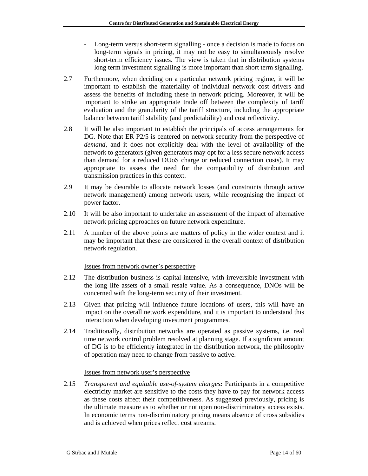- Long-term versus short-term signalling once a decision is made to focus on long-term signals in pricing, it may not be easy to simultaneously resolve short-term efficiency issues. The view is taken that in distribution systems long term investment signalling is more important than short term signalling.
- 2.7 Furthermore, when deciding on a particular network pricing regime, it will be important to establish the materiality of individual network cost drivers and assess the benefits of including these in network pricing. Moreover, it will be important to strike an appropriate trade off between the complexity of tariff evaluation and the granularity of the tariff structure, including the appropriate balance between tariff stability (and predictability) and cost reflectivity.
- 2.8 It will be also important to establish the principals of access arrangements for DG. Note that ER P2/5 is centered on network security from the perspective of *demand*, and it does not explicitly deal with the level of availability of the network to generators (given generators may opt for a less secure network access than demand for a reduced DUoS charge or reduced connection costs). It may appropriate to assess the need for the compatibility of distribution and transmission practices in this context.
- 2.9 It may be desirable to allocate network losses (and constraints through active network management) among network users, while recognising the impact of power factor.
- 2.10 It will be also important to undertake an assessment of the impact of alternative network pricing approaches on future network expenditure.
- 2.11 A number of the above points are matters of policy in the wider context and it may be important that these are considered in the overall context of distribution network regulation.

#### Issues from network owner's perspective

- 2.12 The distribution business is capital intensive, with irreversible investment with the long life assets of a small resale value. As a consequence, DNOs will be concerned with the long-term security of their investment.
- 2.13 Given that pricing will influence future locations of users, this will have an impact on the overall network expenditure, and it is important to understand this interaction when developing investment programmes.
- 2.14 Traditionally, distribution networks are operated as passive systems, i.e. real time network control problem resolved at planning stage. If a significant amount of DG is to be efficiently integrated in the distribution network, the philosophy of operation may need to change from passive to active.

#### Issues from network user's perspective

2.15 *Transparent and equitable use-of-system charges:* Participants in a competitive electricity market are sensitive to the costs they have to pay for network access as these costs affect their competitiveness. As suggested previously, pricing is the ultimate measure as to whether or not open non-discriminatory access exists. In economic terms non-discriminatory pricing means absence of cross subsidies and is achieved when prices reflect cost streams.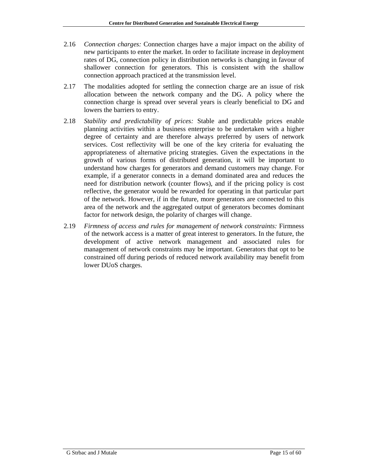- 2.16 *Connection charges:* Connection charges have a major impact on the ability of new participants to enter the market. In order to facilitate increase in deployment rates of DG, connection policy in distribution networks is changing in favour of shallower connection for generators. This is consistent with the shallow connection approach practiced at the transmission level.
- 2.17 The modalities adopted for settling the connection charge are an issue of risk allocation between the network company and the DG. A policy where the connection charge is spread over several years is clearly beneficial to DG and lowers the barriers to entry.
- 2.18 *Stability and predictability of prices:* Stable and predictable prices enable planning activities within a business enterprise to be undertaken with a higher degree of certainty and are therefore always preferred by users of network services. Cost reflectivity will be one of the key criteria for evaluating the appropriateness of alternative pricing strategies. Given the expectations in the growth of various forms of distributed generation, it will be important to understand how charges for generators and demand customers may change. For example, if a generator connects in a demand dominated area and reduces the need for distribution network (counter flows), and if the pricing policy is cost reflective, the generator would be rewarded for operating in that particular part of the network. However, if in the future, more generators are connected to this area of the network and the aggregated output of generators becomes dominant factor for network design, the polarity of charges will change.
- 2.19 *Firmness of access and rules for management of network constraints:* Firmness of the network access is a matter of great interest to generators. In the future, the development of active network management and associated rules for management of network constraints may be important. Generators that opt to be constrained off during periods of reduced network availability may benefit from lower DUoS charges.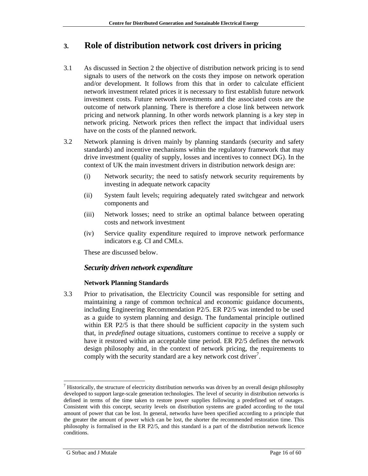### **3. Role of distribution network cost drivers in pricing**

- 3.1 As discussed in Section 2 the objective of distribution network pricing is to send signals to users of the network on the costs they impose on network operation and/or development. It follows from this that in order to calculate efficient network investment related prices it is necessary to first establish future network investment costs. Future network investments and the associated costs are the outcome of network planning. There is therefore a close link between network pricing and network planning. In other words network planning is a key step in network pricing. Network prices then reflect the impact that individual users have on the costs of the planned network.
- 3.2 Network planning is driven mainly by planning standards (security and safety standards) and incentive mechanisms within the regulatory framework that may drive investment (quality of supply, losses and incentives to connect DG). In the context of UK the main investment drivers in distribution network design are:
	- (i) Network security; the need to satisfy network security requirements by investing in adequate network capacity
	- (ii) System fault levels; requiring adequately rated switchgear and network components and
	- (iii) Network losses; need to strike an optimal balance between operating costs and network investment
	- (iv) Service quality expenditure required to improve network performance indicators e.g. CI and CMLs.

These are discussed below.

#### *Security driven network expenditure*

#### **Network Planning Standards**

3.3 Prior to privatisation, the Electricity Council was responsible for setting and maintaining a range of common technical and economic guidance documents, including Engineering Recommendation P2/5. ER P2/5 was intended to be used as a guide to system planning and design. The fundamental principle outlined within ER P2/5 is that there should be sufficient *capacity* in the system such that, in *predefined* outage situations, customers continue to receive a supply or have it restored within an acceptable time period. ER P2/5 defines the network design philosophy and, in the context of network pricing, the requirements to comply with the security standard are a key network cost driver<sup>7</sup>.

<sup>&</sup>lt;sup>7</sup> Historically, the structure of electricity distribution networks was driven by an overall design philosophy developed to support large-scale generation technologies. The level of security in distribution networks is defined in terms of the time taken to restore power supplies following a predefined set of outages. Consistent with this concept, security levels on distribution systems are graded according to the total amount of power that can be lost. In general, networks have been specified according to a principle that the greater the amount of power which can be lost, the shorter the recommended restoration time. This philosophy is formalised in the ER P2/5, and this standard is a part of the distribution network licence conditions.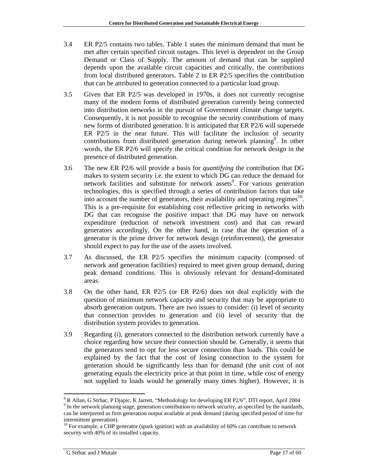- 3.4 ER P2/5 contains two tables. Table 1 states the minimum demand that must be met after certain specified circuit outages. This level is dependent on the Group Demand or Class of Supply. The amount of demand that can be supplied depends upon the available circuit capacities and critically, the contributions from local distributed generators. Table 2 in ER P2/5 specifies the contribution that can be attributed to generation connected to a particular load group.
- 3.5 Given that ER P2/5 was developed in 1970s, it does not currently recognise many of the modern forms of distributed generation currently being connected into distribution networks in the pursuit of Government climate change targets. Consequently, it is not possible to recognise the security contributions of many new forms of distributed generation. It is anticipated that ER P2/6 will supersede ER P2/5 in the near future. This will facilitate the inclusion of security contributions from distributed generation during network planning<sup>8</sup>. In other words, the ER P2/6 will specify the critical condition for network design in the presence of distributed generation.
- 3.6 The new ER P2/6 will provide a basis for *quantifying* the contribution that DG makes to system security i.e. the extent to which DG can reduce the demand for network facilities and substitute for network assets<sup>9</sup>. For various generation technologies, this is specified through a series of contribution factors that take into account the number of generators, their availability and operating regimes<sup>10</sup>. This is a pre-requisite for establishing cost reflective pricing in networks with DG that can recognise the positive impact that DG may have on network expenditure (reduction of network investment cost) and that can reward generators accordingly. On the other hand, in case that the operation of a generator is the prime driver for network design (reinforcement), the generator should expect to pay for the use of the assets involved.
- 3.7 As discussed, the ER P2/5 specifies the minimum capacity (composed of network and generation facilities) required to meet given group demand, during peak demand conditions. This is obviously relevant for demand-dominated areas.
- 3.8 On the other hand, ER P2/5 (or ER P2/6) does not deal explicitly with the question of minimum network capacity and security that may be appropriate to absorb generation outputs. There are two issues to consider: (i) level of security that connection provides to generation and (ii) level of security that the distribution system provides to generation.
- 3.9 Regarding (i), generators connected to the distribution network currently have a choice regarding how secure their connection should be. Generally, it seems that the generators tend to opt for less secure connection than loads. This could be explained by the fact that the cost of losing connection to the system for generation should be significantly less than for demand (the unit cost of not generating equals the electricity price at that point in time, while cost of energy not supplied to loads would be generally many times higher). However, it is

<sup>&</sup>lt;sup>8</sup> R Allan, G Strbac, P Djapic, K Jarrett, "Methodology for developing ER P2/6", DTI report, April 2004 <sup>9</sup> In the network planning stage, generation contribution to network security, as specified by the standards, can be interpreted as firm generation output available at peak demand (during specified period of time for intermittent generation).

<sup>&</sup>lt;sup>10</sup> For example, a CHP generator (spark ignition) with an availability of 60% can contribute to network security with 40% of its installed capacity.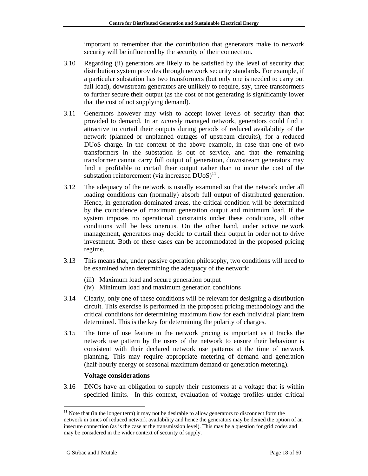important to remember that the contribution that generators make to network security will be influenced by the security of their connection.

- 3.10 Regarding (ii) generators are likely to be satisfied by the level of security that distribution system provides through network security standards. For example, if a particular substation has two transformers (but only one is needed to carry out full load), downstream generators are unlikely to require, say, three transformers to further secure their output (as the cost of not generating is significantly lower that the cost of not supplying demand).
- 3.11 Generators however may wish to accept lower levels of security than that provided to demand. In an *actively* managed network, generators could find it attractive to curtail their outputs during periods of reduced availability of the network (planned or unplanned outages of upstream circuits), for a reduced DUoS charge. In the context of the above example, in case that one of two transformers in the substation is out of service, and that the remaining transformer cannot carry full output of generation, downstream generators may find it profitable to curtail their output rather than to incur the cost of the substation reinforcement (via increased  $DUoS$ )<sup>11</sup>.
- 3.12 The adequacy of the network is usually examined so that the network under all loading conditions can (normally) absorb full output of distributed generation. Hence, in generation-dominated areas, the critical condition will be determined by the coincidence of maximum generation output and minimum load. If the system imposes no operational constraints under these conditions, all other conditions will be less onerous. On the other hand, under active network management, generators may decide to curtail their output in order not to drive investment. Both of these cases can be accommodated in the proposed pricing regime.
- 3.13 This means that, under passive operation philosophy, two conditions will need to be examined when determining the adequacy of the network:
	- (iii) Maximum load and secure generation output
	- (iv) Minimum load and maximum generation conditions
- 3.14 Clearly, only one of these conditions will be relevant for designing a distribution circuit. This exercise is performed in the proposed pricing methodology and the critical conditions for determining maximum flow for each individual plant item determined. This is the key for determining the polarity of charges.
- 3.15 The time of use feature in the network pricing is important as it tracks the network use pattern by the users of the network to ensure their behaviour is consistent with their declared network use patterns at the time of network planning. This may require appropriate metering of demand and generation (half-hourly energy or seasonal maximum demand or generation metering).

#### **Voltage considerations**

3.16 DNOs have an obligation to supply their customers at a voltage that is within specified limits. In this context, evaluation of voltage profiles under critical

 $11$  Note that (in the longer term) it may not be desirable to allow generators to disconnect form the network in times of reduced network availability and hence the generators may be denied the option of an insecure connection (as is the case at the transmission level). This may be a question for grid codes and may be considered in the wider context of security of supply.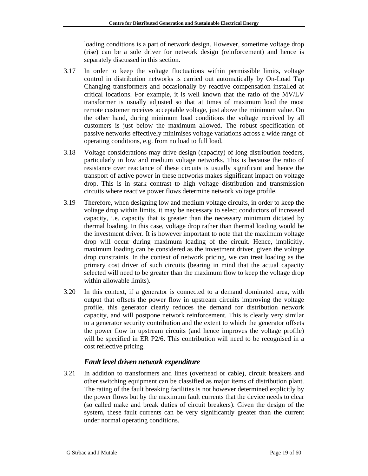loading conditions is a part of network design. However, sometime voltage drop (rise) can be a sole driver for network design (reinforcement) and hence is separately discussed in this section.

- 3.17 In order to keep the voltage fluctuations within permissible limits, voltage control in distribution networks is carried out automatically by On-Load Tap Changing transformers and occasionally by reactive compensation installed at critical locations. For example, it is well known that the ratio of the MV/LV transformer is usually adjusted so that at times of maximum load the most remote customer receives acceptable voltage, just above the minimum value. On the other hand, during minimum load conditions the voltage received by all customers is just below the maximum allowed. The robust specification of passive networks effectively minimises voltage variations across a wide range of operating conditions, e.g. from no load to full load.
- 3.18 Voltage considerations may drive design (capacity) of long distribution feeders, particularly in low and medium voltage networks. This is because the ratio of resistance over reactance of these circuits is usually significant and hence the transport of active power in these networks makes significant impact on voltage drop. This is in stark contrast to high voltage distribution and transmission circuits where reactive power flows determine network voltage profile.
- 3.19 Therefore, when designing low and medium voltage circuits, in order to keep the voltage drop within limits, it may be necessary to select conductors of increased capacity, i.e. capacity that is greater than the necessary minimum dictated by thermal loading. In this case, voltage drop rather than thermal loading would be the investment driver. It is however important to note that the maximum voltage drop will occur during maximum loading of the circuit. Hence, implicitly, maximum loading can be considered as the investment driver, given the voltage drop constraints. In the context of network pricing, we can treat loading as the primary cost driver of such circuits (bearing in mind that the actual capacity selected will need to be greater than the maximum flow to keep the voltage drop within allowable limits).
- 3.20 In this context, if a generator is connected to a demand dominated area, with output that offsets the power flow in upstream circuits improving the voltage profile, this generator clearly reduces the demand for distribution network capacity, and will postpone network reinforcement. This is clearly very similar to a generator security contribution and the extent to which the generator offsets the power flow in upstream circuits (and hence improves the voltage profile) will be specified in ER P2/6. This contribution will need to be recognised in a cost reflective pricing.

#### *Fault level driven network expenditure*

3.21 In addition to transformers and lines (overhead or cable), circuit breakers and other switching equipment can be classified as major items of distribution plant. The rating of the fault breaking facilities is not however determined explicitly by the power flows but by the maximum fault currents that the device needs to clear (so called make and break duties of circuit breakers). Given the design of the system, these fault currents can be very significantly greater than the current under normal operating conditions.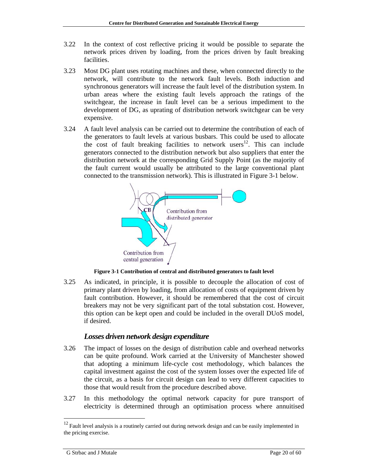- 3.22 In the context of cost reflective pricing it would be possible to separate the network prices driven by loading, from the prices driven by fault breaking facilities.
- 3.23 Most DG plant uses rotating machines and these, when connected directly to the network, will contribute to the network fault levels. Both induction and synchronous generators will increase the fault level of the distribution system. In urban areas where the existing fault levels approach the ratings of the switchgear, the increase in fault level can be a serious impediment to the development of DG, as uprating of distribution network switchgear can be very expensive.
- 3.24 A fault level analysis can be carried out to determine the contribution of each of the generators to fault levels at various busbars. This could be used to allocate the cost of fault breaking facilities to network users<sup>12</sup>. This can include generators connected to the distribution network but also suppliers that enter the distribution network at the corresponding Grid Supply Point (as the majority of the fault current would usually be attributed to the large conventional plant connected to the transmission network). This is illustrated in Figure 3-1 below.



**Figure 3-1 Contribution of central and distributed generators to fault level** 

3.25 As indicated, in principle, it is possible to decouple the allocation of cost of primary plant driven by loading, from allocation of costs of equipment driven by fault contribution. However, it should be remembered that the cost of circuit breakers may not be very significant part of the total substation cost. However, this option can be kept open and could be included in the overall DUoS model, if desired.

### *Losses driven network design expenditure*

- 3.26 The impact of losses on the design of distribution cable and overhead networks can be quite profound. Work carried at the University of Manchester showed that adopting a minimum life-cycle cost methodology, which balances the capital investment against the cost of the system losses over the expected life of the circuit, as a basis for circuit design can lead to very different capacities to those that would result from the procedure described above.
- 3.27 In this methodology the optimal network capacity for pure transport of electricity is determined through an optimisation process where annuitised

 $12$  Fault level analysis is a routinely carried out during network design and can be easily implemented in the pricing exercise.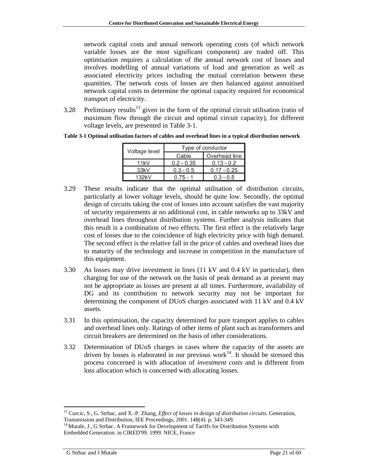network capital costs and annual network operating costs (of which network variable losses are the most significant component) are traded off. This optimisation requires a calculation of the annual network cost of losses and involves modelling of annual variations of load and generation as well as associated electricity prices including the mutual correlation between these quantities. The network costs of losses are then balanced against annuitised network capital costs to determine the optimal capacity required for economical transport of electricity.

3.28 Preliminary results<sup>13</sup> given in the form of the optimal circuit utilisation (ratio of maximum flow through the circuit and optimal circuit capacity), for different voltage levels, are presented in Table 3-1.

| Voltage level |              | Type of conductor |
|---------------|--------------|-------------------|
|               | Cable        | Overhead line     |
| 11kV          | $0.2 - 0.35$ | $0.13 - 0.2$      |
| 33kV          | $0.3 - 0.5$  | $0.17 - 0.25$     |
| 132kV         | $0.75 - 1$   | $0.3 - 0.5$       |

- **Table 3-1 Optimal utilisation factors of cables and overhead lines in a typical distribution network**
- 3.29 These results indicate that the optimal utilisation of distribution circuits, particularly at lower voltage levels, should be quite low. Secondly, the optimal design of circuits taking the cost of losses into account satisfies the vast majority of security requirements at no additional cost, in cable networks up to 33kV and overhead lines throughout distribution systems. Further analysis indicates that this result is a combination of two effects. The first effect is the relatively large cost of losses due to the coincidence of high electricity price with high demand. The second effect is the relative fall in the price of cables and overhead lines due to maturity of the technology and increase in competition in the manufacture of this equipment.
- 3.30 As losses may drive investment in lines (11 kV and 0.4 kV in particular), then charging for use of the network on the basis of peak demand as at present may not be appropriate as losses are present at all times. Furthermore, availability of DG and its contribution to network security may not be important for determining the component of DUoS charges associated with 11 kV and 0.4 kV assets.
- 3.31 In this optimisation, the capacity determined for pure transport applies to cables and overhead lines only. Ratings of other items of plant such as transformers and circuit breakers are determined on the basis of other considerations.
- 3.32 Determination of DUoS charges in cases where the capacity of the assets are driven by losses is elaborated in our previous work<sup>14</sup>. It should be stressed this process concerned is with allocation of *investment costs* and is different from loss allocation which is concerned with allocating losses.

<sup>&</sup>lt;sup>13</sup> Curcic, S., G. Strbac, and X.-P. Zhang, *Effect of losses in design of distribution circuits*. Generation, Transmission and Distribution, IEE Proceedings, 2001. 148(4): p. 343-349.

<sup>&</sup>lt;sup>14</sup> Mutale, J., G Strbac. A Framework for Development of Tariffs for Distribution Systems with Embedded Generation. in CIRED'99. 1999. NICE, France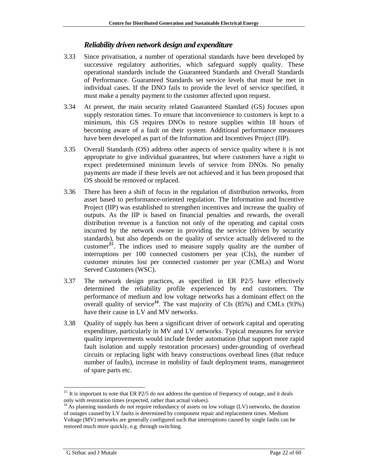#### *Reliability driven network design and expenditure*

- 3.33 Since privatisation, a number of operational standards have been developed by successive regulatory authorities, which safeguard supply quality. These operational standards include the Guaranteed Standards and Overall Standards of Performance. Guaranteed Standards set service levels that must be met in individual cases. If the DNO fails to provide the level of service specified, it must make a penalty payment to the customer affected upon request.
- 3.34 At present, the main security related Guaranteed Standard (GS) focuses upon supply restoration times. To ensure that inconvenience to customers is kept to a minimum, this GS requires DNOs to restore supplies within 18 hours of becoming aware of a fault on their system. Additional performance measures have been developed as part of the Information and Incentives Project (IIP).
- 3.35 Overall Standards (OS) address other aspects of service quality where it is not appropriate to give individual guarantees, but where customers have a right to expect predetermined minimum levels of service from DNOs. No penalty payments are made if these levels are not achieved and it has been proposed that OS should be removed or replaced.
- 3.36 There has been a shift of focus in the regulation of distribution networks, from asset based to performance-oriented regulation. The Information and Incentive Project (IIP) was established to strengthen incentives and increase the quality of outputs. As the IIP is based on financial penalties and rewards, the overall distribution revenue is a function not only of the operating and capital costs incurred by the network owner in providing the service (driven by security standards), but also depends on the quality of service actually delivered to the customer<sup>15</sup>. The indices used to measure supply quality are the number of interruptions per 100 connected customers per year (CIs), the number of customer minutes lost per connected customer per year (CMLs) and Worst Served Customers (WSC).
- 3.37 The network design practices, as specified in ER P2/5 have effectively determined the reliability profile experienced by end customers. The performance of medium and low voltage networks has a dominant effect on the overall quality of service<sup>16</sup>. The vast majority of CIs  $(85%)$  and CMLs  $(93%)$ have their cause in LV and MV networks.
- 3.38 Quality of supply has been a significant driver of network capital and operating expenditure, particularly in MV and LV networks. Typical measures for service quality improvements would include feeder automation (that support more rapid fault isolation and supply restoration processes) under-grounding of overhead circuits or replacing light with heavy constructions overhead lines (that reduce number of faults), increase in mobility of fault deployment teams, management of spare parts etc.

<sup>&</sup>lt;sup>15</sup> It is important to note that ER P2/5 do not address the question of frequency of outage, and it deals only with restoration times (expected, rather than actual values).

<sup>&</sup>lt;sup>16</sup> As planning standards do not require redundancy of assets on low voltage (LV) networks, the duration of outages caused by LV faults is determined by component repair and replacement times. Medium Voltage (MV) networks are generally configured such that interruptions caused by single faults can be restored much more quickly, e.g. through switching.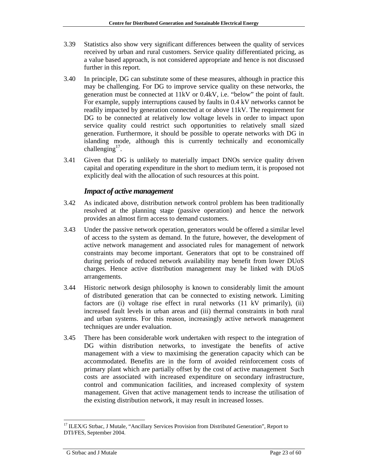- 3.39 Statistics also show very significant differences between the quality of services received by urban and rural customers. Service quality differentiated pricing, as a value based approach, is not considered appropriate and hence is not discussed further in this report.
- 3.40 In principle, DG can substitute some of these measures, although in practice this may be challenging. For DG to improve service quality on these networks, the generation must be connected at 11kV or 0.4kV, i.e. "below" the point of fault. For example, supply interruptions caused by faults in 0.4 kV networks cannot be readily impacted by generation connected at or above 11kV. The requirement for DG to be connected at relatively low voltage levels in order to impact upon service quality could restrict such opportunities to relatively small sized generation. Furthermore, it should be possible to operate networks with DG in islanding mode, although this is currently technically and economically challenging<sup>17</sup>.
- 3.41 Given that DG is unlikely to materially impact DNOs service quality driven capital and operating expenditure in the short to medium term, it is proposed not explicitly deal with the allocation of such resources at this point.

#### *Impact of active management*

- 3.42 As indicated above, distribution network control problem has been traditionally resolved at the planning stage (passive operation) and hence the network provides an almost firm access to demand customers.
- 3.43 Under the passive network operation, generators would be offered a similar level of access to the system as demand. In the future, however, the development of active network management and associated rules for management of network constraints may become important. Generators that opt to be constrained off during periods of reduced network availability may benefit from lower DUoS charges. Hence active distribution management may be linked with DUoS arrangements.
- 3.44 Historic network design philosophy is known to considerably limit the amount of distributed generation that can be connected to existing network. Limiting factors are (i) voltage rise effect in rural networks (11 kV primarily), (ii) increased fault levels in urban areas and (iii) thermal constraints in both rural and urban systems. For this reason, increasingly active network management techniques are under evaluation.
- 3.45 There has been considerable work undertaken with respect to the integration of DG within distribution networks, to investigate the benefits of active management with a view to maximising the generation capacity which can be accommodated. Benefits are in the form of avoided reinforcement costs of primary plant which are partially offset by the cost of active management Such costs are associated with increased expenditure on secondary infrastructure, control and communication facilities, and increased complexity of system management. Given that active management tends to increase the utilisation of the existing distribution network, it may result in increased losses.

<sup>&</sup>lt;sup>17</sup> ILEX/G Strbac, J Mutale, "Ancillary Services Provision from Distributed Generation", Report to DTI/FES, September 2004.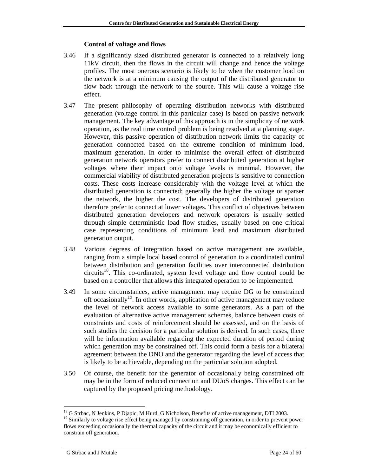#### **Control of voltage and flows**

- 3.46 If a significantly sized distributed generator is connected to a relatively long 11kV circuit, then the flows in the circuit will change and hence the voltage profiles. The most onerous scenario is likely to be when the customer load on the network is at a minimum causing the output of the distributed generator to flow back through the network to the source. This will cause a voltage rise effect.
- 3.47 The present philosophy of operating distribution networks with distributed generation (voltage control in this particular case) is based on passive network management. The key advantage of this approach is in the simplicity of network operation, as the real time control problem is being resolved at a planning stage. However, this passive operation of distribution network limits the capacity of generation connected based on the extreme condition of minimum load, maximum generation. In order to minimise the overall effect of distributed generation network operators prefer to connect distributed generation at higher voltages where their impact onto voltage levels is minimal. However, the commercial viability of distributed generation projects is sensitive to connection costs. These costs increase considerably with the voltage level at which the distributed generation is connected; generally the higher the voltage or sparser the network, the higher the cost. The developers of distributed generation therefore prefer to connect at lower voltages. This conflict of objectives between distributed generation developers and network operators is usually settled through simple deterministic load flow studies, usually based on one critical case representing conditions of minimum load and maximum distributed generation output.
- 3.48 Various degrees of integration based on active management are available, ranging from a simple local based control of generation to a coordinated control between distribution and generation facilities over interconnected distribution circuits<sup>18</sup>. This co-ordinated, system level voltage and flow control could be based on a controller that allows this integrated operation to be implemented.
- 3.49 In some circumstances, active management may require DG to be constrained off occasionally<sup>19</sup>. In other words, application of active management may reduce the level of network access available to some generators. As a part of the evaluation of alternative active management schemes, balance between costs of constraints and costs of reinforcement should be assessed, and on the basis of such studies the decision for a particular solution is derived. In such cases, there will be information available regarding the expected duration of period during which generation may be constrained off. This could form a basis for a bilateral agreement between the DNO and the generator regarding the level of access that is likely to be achievable, depending on the particular solution adopted.
- 3.50 Of course, the benefit for the generator of occasionally being constrained off may be in the form of reduced connection and DUoS charges. This effect can be captured by the proposed pricing methodology.

<sup>&</sup>lt;sup>18</sup> G Strbac, N Jenkins, P Djapic, M Hurd, G Nicholson, Benefits of active management, DTI 2003.

<sup>&</sup>lt;sup>19</sup> Similarly to voltage rise effect being managed by constraining off generation, in order to prevent power flows exceeding occasionally the thermal capacity of the circuit and it may be economically efficient to constrain off generation.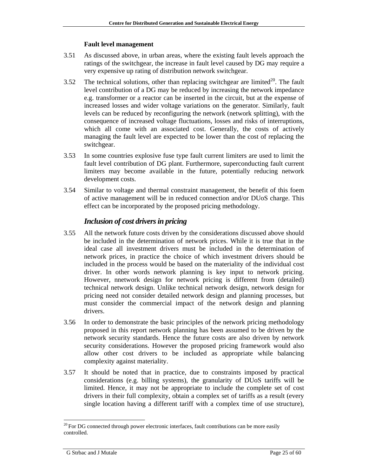#### **Fault level management**

- 3.51 As discussed above, in urban areas, where the existing fault levels approach the ratings of the switchgear, the increase in fault level caused by DG may require a very expensive up rating of distribution network switchgear.
- 3.52 The technical solutions, other than replacing switchgear are limited<sup>20</sup>. The fault level contribution of a DG may be reduced by increasing the network impedance e.g. transformer or a reactor can be inserted in the circuit, but at the expense of increased losses and wider voltage variations on the generator. Similarly, fault levels can be reduced by reconfiguring the network (network splitting), with the consequence of increased voltage fluctuations, losses and risks of interruptions, which all come with an associated cost. Generally, the costs of actively managing the fault level are expected to be lower than the cost of replacing the switchgear.
- 3.53 In some countries explosive fuse type fault current limiters are used to limit the fault level contribution of DG plant. Furthermore, superconducting fault current limiters may become available in the future, potentially reducing network development costs.
- 3.54 Similar to voltage and thermal constraint management, the benefit of this foem of active management will be in reduced connection and/or DUoS charge. This effect can be incorporated by the proposed pricing methodology.

#### *Inclusion of cost drivers in pricing*

- 3.55 All the network future costs driven by the considerations discussed above should be included in the determination of network prices. While it is true that in the ideal case all investment drivers must be included in the determination of network prices, in practice the choice of which investment drivers should be included in the process would be based on the materiality of the individual cost driver. In other words network planning is key input to network pricing. However, nnetwork design for network pricing is different from (detailed) technical network design. Unlike technical network design, network design for pricing need not consider detailed network design and planning processes, but must consider the commercial impact of the network design and planning drivers.
- 3.56 In order to demonstrate the basic principles of the network pricing methodology proposed in this report network planning has been assumed to be driven by the network security standards. Hence the future costs are also driven by network security considerations. However the proposed pricing framework would also allow other cost drivers to be included as appropriate while balancing complexity against materiality.
- 3.57 It should be noted that in practice, due to constraints imposed by practical considerations (e.g. billing systems), the granularity of DUoS tariffs will be limited. Hence, it may not be appropriate to include the complete set of cost drivers in their full complexity, obtain a complex set of tariffs as a result (every single location having a different tariff with a complex time of use structure),

 $20$  For DG connected through power electronic interfaces, fault contributions can be more easily controlled.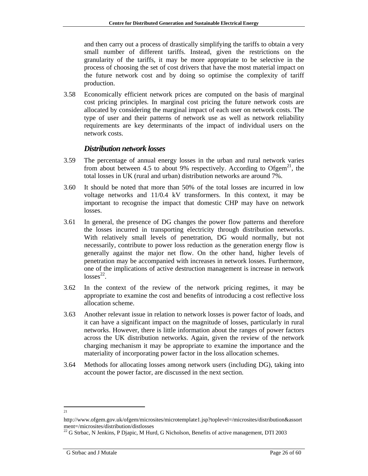and then carry out a process of drastically simplifying the tariffs to obtain a very small number of different tariffs. Instead, given the restrictions on the granularity of the tariffs, it may be more appropriate to be selective in the process of choosing the set of cost drivers that have the most material impact on the future network cost and by doing so optimise the complexity of tariff production.

3.58 Economically efficient network prices are computed on the basis of marginal cost pricing principles. In marginal cost pricing the future network costs are allocated by considering the marginal impact of each user on network costs. The type of user and their patterns of network use as well as network reliability requirements are key determinants of the impact of individual users on the network costs.

#### *Distribution network losses*

- 3.59 The percentage of annual energy losses in the urban and rural network varies from about between 4.5 to about 9% respectively. According to  $Ofgem^{21}$ , the total losses in UK (rural and urban) distribution networks are around 7%.
- 3.60 It should be noted that more than 50% of the total losses are incurred in low voltage networks and 11/0.4 kV transformers. In this context, it may be important to recognise the impact that domestic CHP may have on network losses.
- 3.61 In general, the presence of DG changes the power flow patterns and therefore the losses incurred in transporting electricity through distribution networks. With relatively small levels of penetration, DG would normally, but not necessarily, contribute to power loss reduction as the generation energy flow is generally against the major net flow. On the other hand, higher levels of penetration may be accompanied with increases in network losses. Furthermore, one of the implications of active destruction management is increase in network  $losses<sup>22</sup>$ .
- 3.62 In the context of the review of the network pricing regimes, it may be appropriate to examine the cost and benefits of introducing a cost reflective loss allocation scheme.
- 3.63 Another relevant issue in relation to network losses is power factor of loads, and it can have a significant impact on the magnitude of losses, particularly in rural networks. However, there is little information about the ranges of power factors across the UK distribution networks. Again, given the review of the network charging mechanism it may be appropriate to examine the importance and the materiality of incorporating power factor in the loss allocation schemes.
- 3.64 Methods for allocating losses among network users (including DG), taking into account the power factor, are discussed in the next section.

 $\frac{1}{21}$ 

http://www.ofgem.gov.uk/ofgem/microsites/microtemplate1.jsp?toplevel=/microsites/distribution&assort ment=/microsites/distribution/distlosses

 $22$  G Strbac, N Jenkins, P Djapic, M Hurd, G Nicholson, Benefits of active management, DTI 2003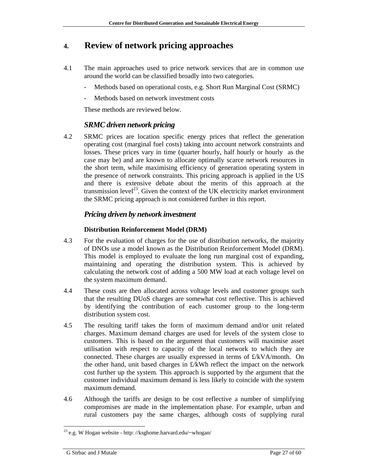# **4. Review of network pricing approaches**

- 4.1 The main approaches used to price network services that are in common use around the world can be classified broadly into two categories.
	- Methods based on operational costs, e.g. Short Run Marginal Cost (SRMC)
	- Methods based on network investment costs

These methods are reviewed below.

### *SRMC driven network pricing*

4.2 SRMC prices are location specific energy prices that reflect the generation operating cost (marginal fuel costs) taking into account network constraints and losses. These prices vary in time (quarter hourly, half hourly or hourly as the case may be) and are known to allocate optimally scarce network resources in the short term, while maximising efficiency of generation operating system in the presence of network constraints. This pricing approach is applied in the US and there is extensive debate about the merits of this approach at the transmission level<sup>23</sup>. Given the context of the UK electricity market environment the SRMC pricing approach is not considered further in this report.

### *Pricing driven by network investment*

#### **Distribution Reinforcement Model (DRM)**

- 4.3 For the evaluation of charges for the use of distribution networks, the majority of DNOs use a model known as the Distribution Reinforcement Model (DRM). This model is employed to evaluate the long run marginal cost of expanding, maintaining and operating the distribution system. This is achieved by calculating the network cost of adding a 500 MW load at each voltage level on the system maximum demand.
- 4.4 These costs are then allocated across voltage levels and customer groups such that the resulting DUoS charges are somewhat cost reflective. This is achieved by identifying the contribution of each customer group to the long-term distribution system cost.
- 4.5 The resulting tariff takes the form of maximum demand and/or unit related charges. Maximum demand charges are used for levels of the system close to customers. This is based on the argument that customers will maximise asset utilisation with respect to capacity of the local network to which they are connected. These charges are usually expressed in terms of £/kVA/month. On the other hand, unit based charges in £/kWh reflect the impact on the network cost further up the system. This approach is supported by the argument that the customer individual maximum demand is less likely to coincide with the system maximum demand.
- 4.6 Although the tariffs are design to be cost reflective a number of simplifying compromises are made in the implementation phase. For example, urban and rural customers pay the same charges, although costs of supplying rural

 $\overline{a}$  $^{23}$  e.g. W Hogan website - http: //ksghome.harvard.edu/~whogan/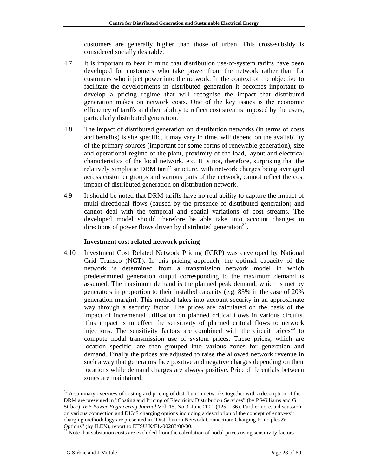customers are generally higher than those of urban. This cross-subsidy is considered socially desirable.

- 4.7 It is important to bear in mind that distribution use-of-system tariffs have been developed for customers who take power from the network rather than for customers who inject power into the network. In the context of the objective to facilitate the developments in distributed generation it becomes important to develop a pricing regime that will recognise the impact that distributed generation makes on network costs. One of the key issues is the economic efficiency of tariffs and their ability to reflect cost streams imposed by the users, particularly distributed generation.
- 4.8 The impact of distributed generation on distribution networks (in terms of costs and benefits) is site specific, it may vary in time, will depend on the availability of the primary sources (important for some forms of renewable generation), size and operational regime of the plant, proximity of the load, layout and electrical characteristics of the local network, etc. It is not, therefore, surprising that the relatively simplistic DRM tariff structure, with network charges being averaged across customer groups and various parts of the network, cannot reflect the cost impact of distributed generation on distribution network.
- 4.9 It should be noted that DRM tariffs have no real ability to capture the impact of multi-directional flows (caused by the presence of distributed generation) and cannot deal with the temporal and spatial variations of cost streams. The developed model should therefore be able take into account changes in directions of power flows driven by distributed generation<sup>24</sup>.

#### **Investment cost related network pricing**

4.10 Investment Cost Related Network Pricing (ICRP) was developed by National Grid Transco (NGT). In this pricing approach, the optimal capacity of the network is determined from a transmission network model in which predetermined generation output corresponding to the maximum demand is assumed. The maximum demand is the planned peak demand, which is met by generators in proportion to their installed capacity (e.g. 83% in the case of 20% generation margin). This method takes into account security in an approximate way through a security factor. The prices are calculated on the basis of the impact of incremental utilisation on planned critical flows in various circuits. This impact is in effect the sensitivity of planned critical flows to network injections. The sensitivity factors are combined with the circuit prices<sup>25</sup> to compute nodal transmission use of system prices. These prices, which are location specific, are then grouped into various zones for generation and demand. Finally the prices are adjusted to raise the allowed network revenue in such a way that generators face positive and negative charges depending on their locations while demand charges are always positive. Price differentials between zones are maintained.

 $24$  A summary overview of costing and pricing of distribution networks together with a description of the DRM are presented in "Costing and Pricing of Electricity Distribution Services" (by P Williams and G Strbac), *IEE Power Engineering Journal* Vol. 15, No 3, June 2001 (125- 136). Furthermore, a discussion on various connection and DUoS charging options including a description of the concept of entry-exit charging methodology are presented in "Distribution Network Connection: Charging Principles & Options" (by ILEX), report to ETSU K/EL/00283/00/00.

 $25$  Note that substation costs are excluded from the calculation of nodal prices using sensitivity factors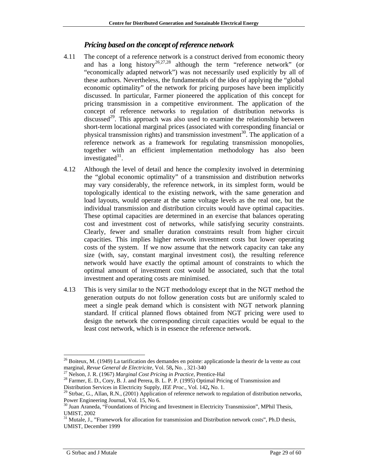#### *Pricing based on the concept of reference network*

- 4.11 The concept of a reference network is a construct derived from economic theory and has a long history<sup>26,27,28</sup> although the term "reference network" (or "economically adapted network") was not necessarily used explicitly by all of these authors. Nevertheless, the fundamentals of the idea of applying the "global economic optimality" of the network for pricing purposes have been implicitly discussed. In particular, Farmer pioneered the application of this concept for pricing transmission in a competitive environment. The application of the concept of reference networks to regulation of distribution networks is discussed<sup>29</sup>. This approach was also used to examine the relationship between short-term locational marginal prices (associated with corresponding financial or physical transmission rights) and transmission investment<sup>30</sup>. The application of a reference network as a framework for regulating transmission monopolies, together with an efficient implementation methodology has also been investigated $31$ .
- 4.12 Although the level of detail and hence the complexity involved in determining the "global economic optimality" of a transmission and distribution networks may vary considerably, the reference network, in its simplest form, would be topologically identical to the existing network, with the same generation and load layouts, would operate at the same voltage levels as the real one, but the individual transmission and distribution circuits would have optimal capacities. These optimal capacities are determined in an exercise that balances operating cost and investment cost of networks, while satisfying security constraints. Clearly, fewer and smaller duration constraints result from higher circuit capacities. This implies higher network investment costs but lower operating costs of the system. If we now assume that the network capacity can take any size (with, say, constant marginal investment cost), the resulting reference network would have exactly the optimal amount of constraints to which the optimal amount of investment cost would be associated, such that the total investment and operating costs are minimised.
- 4.13 This is very similar to the NGT methodology except that in the NGT method the generation outputs do not follow generation costs but are uniformly scaled to meet a single peak demand which is consistent with NGT network planning standard. If critical planned flows obtained from NGT pricing were used to design the network the corresponding circuit capacities would be equal to the least cost network, which is in essence the reference network.

<sup>&</sup>lt;sup>26</sup> Boiteux, M. (1949) La tarification des demandes en pointe: applicationde la theorir de la vente au cout

marginal, *Revue General de Electricite*, Vol. 58, No., 321-340<br><sup>27</sup> Nelson, J. R. (1967) *Marginal Cost Pricing in Practice*, Prentice-Hal<br><sup>28</sup> Farmer, E. D., Cory, B. J. and Perera, B. L. P. P. (1995) Optimal Pricing of

<sup>&</sup>lt;sup>29</sup> Strbac, G., Allan, R.N., (2001) Application of reference network to regulation of distribution networks, Power Engineering Journal, Vol. 15, No 6.

<sup>&</sup>lt;sup>30</sup> Juan Araneda, "Foundations of Pricing and Investment in Electricity Transmission", MPhil Thesis, UMIST, 2002

<sup>&</sup>lt;sup>31</sup> Mutale, J., "Framework for allocation for transmission and Distribution network costs", Ph.D thesis, UMIST, December 1999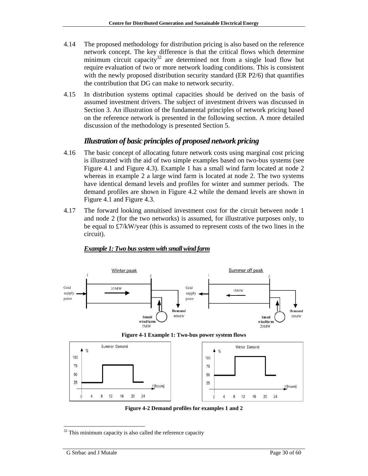- 4.14 The proposed methodology for distribution pricing is also based on the reference network concept. The key difference is that the critical flows which determine minimum circuit capacity<sup>32</sup> are determined not from a single load flow but require evaluation of two or more network loading conditions. This is consistent with the newly proposed distribution security standard (ER P2/6) that quantifies the contribution that DG can make to network security.
- 4.15 In distribution systems optimal capacities should be derived on the basis of assumed investment drivers. The subject of investment drivers was discussed in Section 3. An illustration of the fundamental principles of network pricing based on the reference network is presented in the following section. A more detailed discussion of the methodology is presented Section 5.

#### *Illustration of basic principles of proposed network pricing*

- 4.16 The basic concept of allocating future network costs using marginal cost pricing is illustrated with the aid of two simple examples based on two-bus systems (see Figure 4.1 and Figure 4.3). Example 1 has a small wind farm located at node 2 whereas in example 2 a large wind farm is located at node 2. The two systems have identical demand levels and profiles for winter and summer periods. The demand profiles are shown in Figure 4.2 while the demand levels are shown in Figure 4.1 and Figure 4.3.
- 4.17 The forward looking annuitised investment cost for the circuit between node 1 and node 2 (for the two networks) is assumed, for illustrative purposes only, to be equal to £7/kW/year (this is assumed to represent costs of the two lines in the circuit).



#### *Example 1: Two bus system with small wind farm*

**Figure 4-1 Example 1: Two-bus power system flows** 



**Figure 4-2 Demand profiles for examples 1 and 2** 

 $32$  This minimum capacity is also called the reference capacity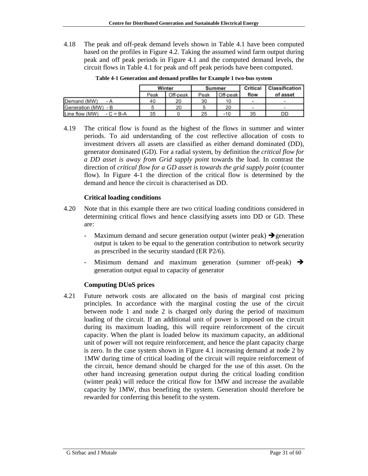4.18 The peak and off-peak demand levels shown in Table 4.1 have been computed based on the profiles in Figure 4.2. Taking the assumed wind farm output during peak and off peak periods in Figure 4.1 and the computed demand levels, the circuit flows in Table 4.1 for peak and off peak periods have been computed.

|                                |      | Winter   |      | Summer   |      | Critical   Classification |  |
|--------------------------------|------|----------|------|----------|------|---------------------------|--|
|                                | Peak | Off-peak | Peak | Off-peak | flow | of asset                  |  |
| Demand (MW)<br>- A             | 40   | 20       | 30   | 10       |      |                           |  |
| Generation (MW) - B            |      | 20       |      | 20       |      |                           |  |
| Line flow (MW)<br>$-C = B - A$ | 35   |          | 25   | $-10$    | 35   | DD                        |  |

**Table 4-1 Generation and demand profiles for Example 1 two-bus system** 

4.19 The critical flow is found as the highest of the flows in summer and winter periods. To aid understanding of the cost reflective allocation of costs to investment drivers all assets are classified as either demand dominated (DD), generator dominated (GD). For a radial system, by definition the *critical flow for a DD asset is away from Grid supply point* towards the load. In contrast the direction of *critical flow for a GD asset is towards the grid supply point* (counter flow). In Figure 4-1 the direction of the critical flow is determined by the demand and hence the circuit is characterised as DD.

#### **Critical loading conditions**

- 4.20 Note that in this example there are two critical loading conditions considered in determining critical flows and hence classifying assets into DD or GD. These are:
	- Maximum demand and secure generation output (winter peak)  $\rightarrow$  generation output is taken to be equal to the generation contribution to network security as prescribed in the security standard (ER P2/6).
	- Minimum demand and maximum generation (summer off-peak)  $\rightarrow$ generation output equal to capacity of generator

#### **Computing DUoS prices**

4.21 Future network costs are allocated on the basis of marginal cost pricing principles. In accordance with the marginal costing the use of the circuit between node 1 and node 2 is charged only during the period of maximum loading of the circuit. If an additional unit of power is imposed on the circuit during its maximum loading, this will require reinforcement of the circuit capacity. When the plant is loaded below its maximum capacity, an additional unit of power will not require reinforcement, and hence the plant capacity charge is zero. In the case system shown in Figure 4.1 increasing demand at node 2 by 1MW during time of critical loading of the circuit will require reinforcement of the circuit, hence demand should be charged for the use of this asset. On the other hand increasing generation output during the critical loading condition (winter peak) will reduce the critical flow for 1MW and increase the available capacity by 1MW, thus benefiting the system. Generation should therefore be rewarded for conferring this benefit to the system.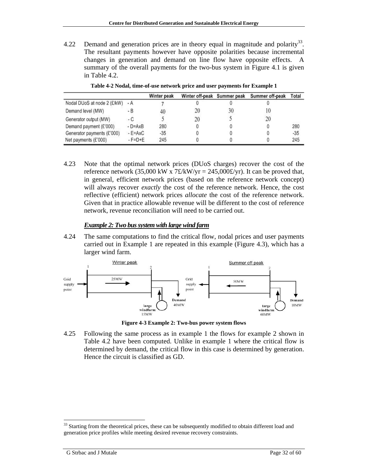4.22 Demand and generation prices are in theory equal in magnitude and polarity<sup>33</sup>. The resultant payments however have opposite polarities because incremental changes in generation and demand on line flow have opposite effects. A summary of the overall payments for the two-bus system in Figure 4.1 is given in Table 4.2.

|                             |                   | Winter peak | Winter off-peak Summer peak |    | Summer off-peak | Total |
|-----------------------------|-------------------|-------------|-----------------------------|----|-----------------|-------|
| Nodal DUoS at node 2 (£/kW) | - A               |             |                             |    |                 |       |
| Demand level (MW)           | - B               | 40          | 20                          | 30 |                 |       |
| Generator output (MW)       | - C               |             | 20                          |    |                 |       |
| Demand payment (£'000)      | $-D = A \times B$ | 280         |                             |    |                 | 280   |
| Generator payments (£'000)  | $-E=AxC$          | $-35$       |                             |    |                 | $-35$ |
| Net payments (£'000)        | $-$ F=D+F         | 245         |                             |    |                 | 245   |

**Table 4-2 Nodal, time-of-use network price and user payments for Example 1** 

4.23 Note that the optimal network prices (DUoS charges) recover the cost of the reference network (35,000 kW x  $7 \frac{\text{f}}{\text{F}}$  XV/yr = 245,000 $\frac{\text{f}}{\text{F}}$ ). It can be proved that, in general, efficient network prices (based on the reference network concept) will always recover *exactly* the cost of the reference network. Hence, the cost reflective (efficient) network prices *allocate* the cost of the reference network. Given that in practice allowable revenue will be different to the cost of reference network, revenue reconciliation will need to be carried out.

#### *Example 2: Two bus system with large wind farm*

4.24 The same computations to find the critical flow, nodal prices and user payments carried out in Example 1 are repeated in this example (Figure 4.3), which has a larger wind farm.



**Figure 4-3 Example 2: Two-bus power system flows** 

4.25 Following the same process as in example 1 the flows for example 2 shown in Table 4.2 have been computed. Unlike in example 1 where the critical flow is determined by demand, the critical flow in this case is determined by generation. Hence the circuit is classified as GD.

<sup>&</sup>lt;sup>33</sup> Starting from the theoretical prices, these can be subsequently modified to obtain different load and generation price profiles while meeting desired revenue recovery constraints.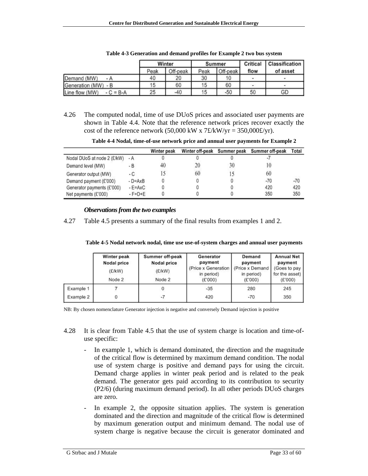|                                | Winter |          | Summer |          |      | Critical   Classification |  |
|--------------------------------|--------|----------|--------|----------|------|---------------------------|--|
|                                | Peak   | Off-peak | Peak   | Off-peak | flow | of asset                  |  |
| Demand (MW)<br>- A             | 40     | 20       | 30     | 10       | ۰    |                           |  |
| Generation (MW) - B            | 15     | 60       | 15     | 60       |      |                           |  |
| Line flow (MW)<br>$-C = B - A$ | 25     | $-40$    | 15     | $-50$    | 50   | GD                        |  |

**Table 4-3 Generation and demand profiles for Example 2 two bus system** 

4.26 The computed nodal, time of use DUoS prices and associated user payments are shown in Table 4.4. Note that the reference network prices recover exactly the cost of the reference network (50,000 kW x 7£/kW/yr = 350,000£/yr).

**Table 4-4 Nodal, time-of-use network price and annual user payments for Example 2** 

|                             |                   | Winter peak |    |    | Winter off-peak Summer peak Summer off-peak | Total |
|-----------------------------|-------------------|-------------|----|----|---------------------------------------------|-------|
| Nodal DUoS at node 2 (£/kW) | - A               |             |    |    |                                             |       |
| Demand level (MW)           | - B               | 40          |    | 30 |                                             |       |
| Generator output (MW)       | - C               |             | 60 |    | 60                                          |       |
| Demand payment (£'000)      | $-D = A \times B$ |             |    |    | $-70$                                       | $-70$ |
| Generator payments (£'000)  | $-E=AxC$          |             |    |    | 420                                         | 420   |
| Net payments (£'000)        | $-F=D+E$          |             |    |    | 350                                         | 350   |

#### *Observations from the two examples*

4.27 Table 4.5 presents a summary of the final results from examples 1 and 2.

|           | Winter peak<br><b>Nodal price</b><br>(E/KW)<br>Node 2 | Summer off-peak<br>Nodal price<br>(E/kW)<br>Node 2 | Generator<br>payment<br>(Price x Generation<br>in period)<br>(£'000) | Demand<br>payment<br>(Price x Demand<br>in period)<br>(E'000) | <b>Annual Net</b><br>payment<br>Goes to pay<br>for the asset)<br>(E'000) |
|-----------|-------------------------------------------------------|----------------------------------------------------|----------------------------------------------------------------------|---------------------------------------------------------------|--------------------------------------------------------------------------|
| Example 1 |                                                       | 0                                                  | $-35$                                                                | 280                                                           | 245                                                                      |
| Example 2 | 0                                                     | $-7$                                               | 420                                                                  | $-70$                                                         | 350                                                                      |

**Table 4-5 Nodal network nodal, time use use-of-system charges and annual user payments** 

NB: By chosen nomenclature Generator injection is negative and conversely Demand injection is positive

- 4.28 It is clear from Table 4.5 that the use of system charge is location and time-ofuse specific:
	- In example 1, which is demand dominated, the direction and the magnitude of the critical flow is determined by maximum demand condition. The nodal use of system charge is positive and demand pays for using the circuit. Demand charge applies in winter peak period and is related to the peak demand. The generator gets paid according to its contribution to security (P2/6) (during maximum demand period). In all other periods DUoS charges are zero.
	- In example 2, the opposite situation applies. The system is generation dominated and the direction and magnitude of the critical flow is determined by maximum generation output and minimum demand. The nodal use of system charge is negative because the circuit is generator dominated and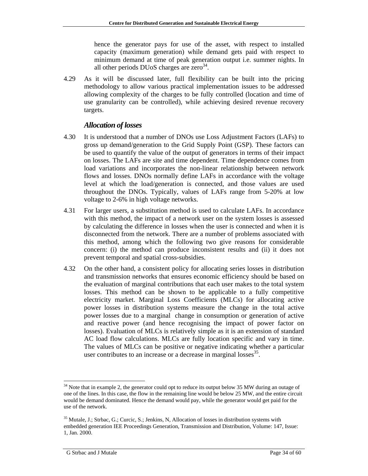hence the generator pays for use of the asset, with respect to installed capacity (maximum generation) while demand gets paid with respect to minimum demand at time of peak generation output i.e. summer nights. In all other periods  $DU<sub>o</sub>S$  charges are zero<sup>34</sup>.

4.29 As it will be discussed later, full flexibility can be built into the pricing methodology to allow various practical implementation issues to be addressed allowing complexity of the charges to be fully controlled (location and time of use granularity can be controlled), while achieving desired revenue recovery targets.

#### *Allocation of losses*

- 4.30 It is understood that a number of DNOs use Loss Adjustment Factors (LAFs) to gross up demand/generation to the Grid Supply Point (GSP). These factors can be used to quantify the value of the output of generators in terms of their impact on losses. The LAFs are site and time dependent. Time dependence comes from load variations and incorporates the non-linear relationship between network flows and losses. DNOs normally define LAFs in accordance with the voltage level at which the load/generation is connected, and those values are used throughout the DNOs. Typically, values of LAFs range from 5-20% at low voltage to 2-6% in high voltage networks.
- 4.31 For larger users, a substitution method is used to calculate LAFs. In accordance with this method, the impact of a network user on the system losses is assessed by calculating the difference in losses when the user is connected and when it is disconnected from the network. There are a number of problems associated with this method, among which the following two give reasons for considerable concern: (i) the method can produce inconsistent results and (ii) it does not prevent temporal and spatial cross-subsidies.
- 4.32 On the other hand, a consistent policy for allocating series losses in distribution and transmission networks that ensures economic efficiency should be based on the evaluation of marginal contributions that each user makes to the total system losses. This method can be shown to be applicable to a fully competitive electricity market. Marginal Loss Coefficients (MLCs) for allocating active power losses in distribution systems measure the change in the total active power losses due to a marginal change in consumption or generation of active and reactive power (and hence recognising the impact of power factor on losses). Evaluation of MLCs is relatively simple as it is an extension of standard AC load flow calculations. MLCs are fully location specific and vary in time. The values of MLCs can be positive or negative indicating whether a particular user contributes to an increase or a decrease in marginal losses  $35$ .

<sup>&</sup>lt;sup>34</sup> Note that in example 2, the generator could opt to reduce its output below 35 MW during an outage of one of the lines. In this case, the flow in the remaining line would be below 25 MW, and the entire circuit would be demand dominated. Hence the demand would pay, while the generator would get paid for the use of the network.

<sup>&</sup>lt;sup>35</sup> Mutale, J.; Strbac, G.; Curcic, S.; Jenkins, N, Allocation of losses in distribution systems with embedded generation IEE Proceedings Generation, Transmission and Distribution, Volume: 147, Issue: 1, Jan. 2000.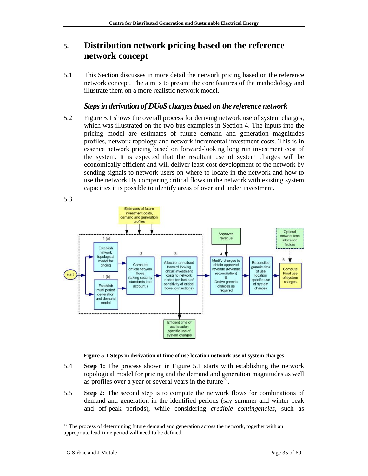# **5. Distribution network pricing based on the reference network concept**

5.1 This Section discusses in more detail the network pricing based on the reference network concept. The aim is to present the core features of the methodology and illustrate them on a more realistic network model.

#### *Steps in derivation of DUoS charges based on the reference network*

5.2 Figure 5.1 shows the overall process for deriving network use of system charges, which was illustrated on the two-bus examples in Section 4. The inputs into the pricing model are estimates of future demand and generation magnitudes profiles, network topology and network incremental investment costs. This is in essence network pricing based on forward-looking long run investment cost of the system. It is expected that the resultant use of system charges will be economically efficient and will deliver least cost development of the network by sending signals to network users on where to locate in the network and how to use the network By comparing critical flows in the network with existing system capacities it is possible to identify areas of over and under investment.



#### **Figure 5-1 Steps in derivation of time of use location network use of system charges**

- 5.4 **Step 1:** The process shown in Figure 5.1 starts with establishing the network topological model for pricing and the demand and generation magnitudes as well as profiles over a year or several years in the future  $36$ .
- 5.5 **Step 2:** The second step is to compute the network flows for combinations of demand and generation in the identified periods (say summer and winter peak and off-peak periods), while considering *credible contingencies*, such as

<sup>&</sup>lt;sup>36</sup> The process of determining future demand and generation across the network, together with an appropriate lead-time period will need to be defined.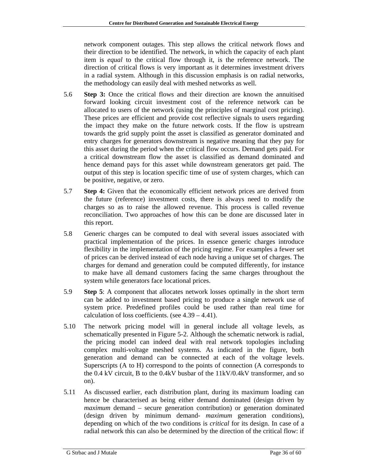network component outages. This step allows the critical network flows and their direction to be identified. The network, in which the capacity of each plant item is *equal* to the critical flow through it, is the reference network. The direction of critical flows is very important as it determines investment drivers in a radial system. Although in this discussion emphasis is on radial networks, the methodology can easily deal with meshed networks as well.

- 5.6 **Step 3:** Once the critical flows and their direction are known the annuitised forward looking circuit investment cost of the reference network can be allocated to users of the network (using the principles of marginal cost pricing). These prices are efficient and provide cost reflective signals to users regarding the impact they make on the future network costs. If the flow is upstream towards the grid supply point the asset is classified as generator dominated and entry charges for generators downstream is negative meaning that they pay for this asset during the period when the critical flow occurs. Demand gets paid. For a critical downstream flow the asset is classified as demand dominated and hence demand pays for this asset while downstream generators get paid. The output of this step is location specific time of use of system charges, which can be positive, negative, or zero.
- 5.7 **Step 4:** Given that the economically efficient network prices are derived from the future (reference) investment costs, there is always need to modify the charges so as to raise the allowed revenue. This process is called revenue reconciliation. Two approaches of how this can be done are discussed later in this report.
- 5.8 Generic charges can be computed to deal with several issues associated with practical implementation of the prices. In essence generic charges introduce flexibility in the implementation of the pricing regime. For examples a fewer set of prices can be derived instead of each node having a unique set of charges. The charges for demand and generation could be computed differently, for instance to make have all demand customers facing the same charges throughout the system while generators face locational prices.
- 5.9 **Step 5**: A component that allocates network losses optimally in the short term can be added to investment based pricing to produce a single network use of system price. Predefined profiles could be used rather than real time for calculation of loss coefficients. (see  $4.39 - 4.41$ ).
- 5.10 The network pricing model will in general include all voltage levels, as schematically presented in Figure 5-2. Although the schematic network is radial, the pricing model can indeed deal with real network topologies including complex multi-voltage meshed systems. As indicated in the figure, both generation and demand can be connected at each of the voltage levels. Superscripts (A to H) correspond to the points of connection (A corresponds to the 0.4 kV circuit, B to the 0.4kV busbar of the 11kV/0.4kV transformer, and so on).
- 5.11 As discussed earlier, each distribution plant, during its maximum loading can hence be characterised as being either demand dominated (design driven by *maximum* demand – secure generation contribution) or generation dominated (design driven by minimum demand- *maximum* generation conditions), depending on which of the two conditions is *critical* for its design. In case of a radial network this can also be determined by the direction of the critical flow: if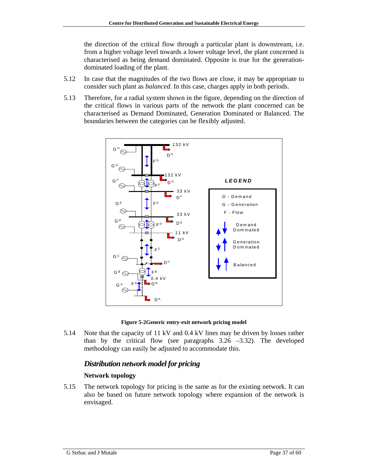the direction of the critical flow through a particular plant is downstream, i.e. from a higher voltage level towards a lower voltage level, the plant concerned is characterised as being demand dominated. Opposite is true for the generationdominated loading of the plant.

- 5.12 In case that the magnitudes of the two flows are close, it may be appropriate to consider such plant as *balanced*. In this case, charges apply in both periods.
- 5.13 Therefore, for a radial system shown in the figure, depending on the direction of the critical flows in various parts of the network the plant concerned can be characterised as Demand Dominated, Generation Dominated or Balanced. The boundaries between the categories can be flexibly adjusted.





5.14 Note that the capacity of 11 kV and 0.4 kV lines may be driven by losses rather than by the critical flow (see paragraphs  $3.26 -3.32$ ). The developed methodology can easily be adjusted to accommodate this.

#### *Distribution network model for pricing*

#### **Network topology**

5.15 The network topology for pricing is the same as for the existing network. It can also be based on future network topology where expansion of the network is envisaged.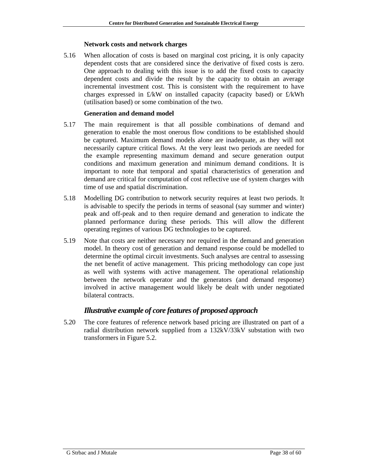#### **Network costs and network charges**

5.16 When allocation of costs is based on marginal cost pricing, it is only capacity dependent costs that are considered since the derivative of fixed costs is zero. One approach to dealing with this issue is to add the fixed costs to capacity dependent costs and divide the result by the capacity to obtain an average incremental investment cost. This is consistent with the requirement to have charges expressed in £/kW on installed capacity (capacity based) or £/kWh (utilisation based) or some combination of the two.

#### **Generation and demand model**

- 5.17 The main requirement is that all possible combinations of demand and generation to enable the most onerous flow conditions to be established should be captured. Maximum demand models alone are inadequate, as they will not necessarily capture critical flows. At the very least two periods are needed for the example representing maximum demand and secure generation output conditions and maximum generation and minimum demand conditions. It is important to note that temporal and spatial characteristics of generation and demand are critical for computation of cost reflective use of system charges with time of use and spatial discrimination.
- 5.18 Modelling DG contribution to network security requires at least two periods. It is advisable to specify the periods in terms of seasonal (say summer and winter) peak and off-peak and to then require demand and generation to indicate the planned performance during these periods. This will allow the different operating regimes of various DG technologies to be captured.
- 5.19 Note that costs are neither necessary nor required in the demand and generation model. In theory cost of generation and demand response could be modelled to determine the optimal circuit investments. Such analyses are central to assessing the net benefit of active management. This pricing methodology can cope just as well with systems with active management. The operational relationship between the network operator and the generators (and demand response) involved in active management would likely be dealt with under negotiated bilateral contracts.

#### *Illustrative example of core features of proposed approach*

5.20 The core features of reference network based pricing are illustrated on part of a radial distribution network supplied from a 132kV/33kV substation with two transformers in Figure 5.2.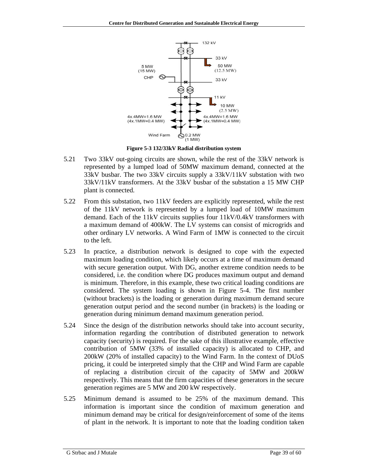

**Figure 5-3 132/33kV Radial distribution system** 

- 5.21 Two 33kV out-going circuits are shown, while the rest of the 33kV network is represented by a lumped load of 50MW maximum demand, connected at the 33kV busbar. The two 33kV circuits supply a 33kV/11kV substation with two 33kV/11kV transformers. At the 33kV busbar of the substation a 15 MW CHP plant is connected.
- 5.22 From this substation, two 11kV feeders are explicitly represented, while the rest of the 11kV network is represented by a lumped load of 10MW maximum demand. Each of the 11kV circuits supplies four 11kV/0.4kV transformers with a maximum demand of 400kW. The LV systems can consist of microgrids and other ordinary LV networks. A Wind Farm of 1MW is connected to the circuit to the left.
- 5.23 In practice, a distribution network is designed to cope with the expected maximum loading condition, which likely occurs at a time of maximum demand with secure generation output. With DG, another extreme condition needs to be considered, i.e. the condition where DG produces maximum output and demand is minimum. Therefore, in this example, these two critical loading conditions are considered. The system loading is shown in Figure 5-4. The first number (without brackets) is the loading or generation during maximum demand secure generation output period and the second number (in brackets) is the loading or generation during minimum demand maximum generation period.
- 5.24 Since the design of the distribution networks should take into account security, information regarding the contribution of distributed generation to network capacity (security) is required. For the sake of this illustrative example, effective contribution of 5MW (33% of installed capacity) is allocated to CHP, and 200kW (20% of installed capacity) to the Wind Farm. In the context of DUoS pricing, it could be interpreted simply that the CHP and Wind Farm are capable of replacing a distribution circuit of the capacity of 5MW and 200kW respectively. This means that the firm capacities of these generators in the secure generation regimes are 5 MW and 200 kW respectively.
- 5.25 Minimum demand is assumed to be 25% of the maximum demand. This information is important since the condition of maximum generation and minimum demand may be critical for design/reinforcement of some of the items of plant in the network. It is important to note that the loading condition taken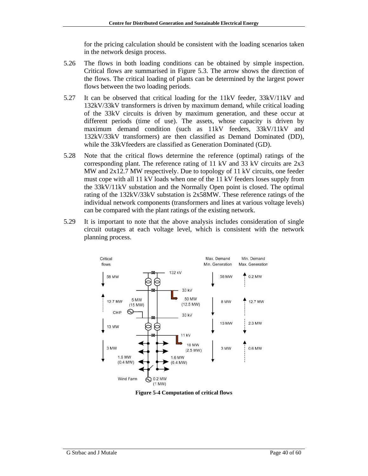for the pricing calculation should be consistent with the loading scenarios taken in the network design process.

- 5.26 The flows in both loading conditions can be obtained by simple inspection. Critical flows are summarised in Figure 5.3. The arrow shows the direction of the flows. The critical loading of plants can be determined by the largest power flows between the two loading periods.
- 5.27 It can be observed that critical loading for the 11kV feeder, 33kV/11kV and 132kV/33kV transformers is driven by maximum demand, while critical loading of the 33kV circuits is driven by maximum generation, and these occur at different periods (time of use). The assets, whose capacity is driven by maximum demand condition (such as 11kV feeders, 33kV/11kV and 132kV/33kV transformers) are then classified as Demand Dominated (DD), while the 33kVfeeders are classified as Generation Dominated (GD).
- 5.28 Note that the critical flows determine the reference (optimal) ratings of the corresponding plant. The reference rating of 11 kV and 33 kV circuits are 2x3 MW and 2x12.7 MW respectively. Due to topology of 11 kV circuits, one feeder must cope with all 11 kV loads when one of the 11 kV feeders loses supply from the 33kV/11kV substation and the Normally Open point is closed. The optimal rating of the 132kV/33kV substation is 2x58MW. These reference ratings of the individual network components (transformers and lines at various voltage levels) can be compared with the plant ratings of the existing network.
- 5.29 It is important to note that the above analysis includes consideration of single circuit outages at each voltage level, which is consistent with the network planning process.



**Figure 5-4 Computation of critical flows**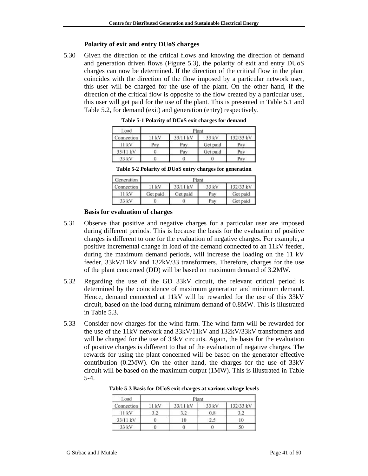#### **Polarity of exit and entry DUoS charges**

5.30 Given the direction of the critical flows and knowing the direction of demand and generation driven flows (Figure 5.3), the polarity of exit and entry DUoS charges can now be determined. If the direction of the critical flow in the plant coincides with the direction of the flow imposed by a particular network user, this user will be charged for the use of the plant. On the other hand, if the direction of the critical flow is opposite to the flow created by a particular user, this user will get paid for the use of the plant. This is presented in Table 5.1 and Table 5.2, for demand (exit) and generation (entry) respectively.

| Load            | Plant |          |          |           |  |  |
|-----------------|-------|----------|----------|-----------|--|--|
| ΙC<br>onnection | 11 kV | 33/11 kV | 33 kV    | 132/33 kV |  |  |
| 11 kV           | Pay   | Pay      | Get paid | Pay       |  |  |
| 33/11 kV        | U     | Pay      | Get paid | Pay       |  |  |
| 33 kV           | U     |          |          | Pay       |  |  |

**Table 5-1 Polarity of DUoS exit charges for demand** 

|  |  |  | Table 5-2 Polarity of DUoS entry charges for generation |
|--|--|--|---------------------------------------------------------|
|  |  |  |                                                         |

| Generation | Plant    |          |       |           |  |  |
|------------|----------|----------|-------|-----------|--|--|
| Connection | 11 kV    | 33/11 kV | 33 kV | 132/33 kV |  |  |
| 11kV       | Get paid | Get paid | Pay   | Get paid  |  |  |
| 33 kV      |          |          | Pay   | Get paid  |  |  |

#### **Basis for evaluation of charges**

- 5.31 Observe that positive and negative charges for a particular user are imposed during different periods. This is because the basis for the evaluation of positive charges is different to one for the evaluation of negative charges. For example, a positive incremental change in load of the demand connected to an 11kV feeder, during the maximum demand periods, will increase the loading on the 11 kV feeder, 33kV/11kV and 132kV/33 transformers. Therefore, charges for the use of the plant concerned (DD) will be based on maximum demand of 3.2MW.
- 5.32 Regarding the use of the GD 33kV circuit, the relevant critical period is determined by the coincidence of maximum generation and minimum demand. Hence, demand connected at 11kV will be rewarded for the use of this 33kV circuit, based on the load during minimum demand of 0.8MW. This is illustrated in Table 5.3.
- 5.33 Consider now charges for the wind farm. The wind farm will be rewarded for the use of the 11kV network and 33kV/11kV and 132kV/33kV transformers and will be charged for the use of  $33kV$  circuits. Again, the basis for the evaluation of positive charges is different to that of the evaluation of negative charges. The rewards for using the plant concerned will be based on the generator effective contribution (0.2MW). On the other hand, the charges for the use of 33kV circuit will be based on the maximum output (1MW). This is illustrated in Table 5-4.

| Table 5-3 Basis for DUoS exit charges at various voltage levels |
|-----------------------------------------------------------------|
|-----------------------------------------------------------------|

| Load       | Plant   |          |       |           |  |  |
|------------|---------|----------|-------|-----------|--|--|
| Connection | $11$ kV | 33/11 kV | 33 kV | 132/33 kV |  |  |
| 11kV       | 3.2     | 3.2      | 0.8   |           |  |  |
| 33/11 kV   |         | 10       | 2.2   | 10        |  |  |
| 33 kV      |         | u        |       | 50        |  |  |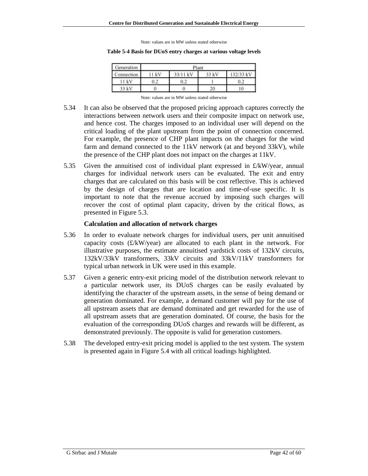Note: values are in MW unless stated otherwise

| Generation | Plant |          |       |          |  |
|------------|-------|----------|-------|----------|--|
| Connection | kV    | 33/11 kV | 33 kV | 32/33 kV |  |
| 11 kV      | 12    |          |       |          |  |
| 33 kV      |       |          | 20    | 10       |  |

**Table 5-4 Basis for DUoS entry charges at various voltage levels** 

- 5.34 It can also be observed that the proposed pricing approach captures correctly the interactions between network users and their composite impact on network use, and hence cost. The charges imposed to an individual user will depend on the critical loading of the plant upstream from the point of connection concerned. For example, the presence of CHP plant impacts on the charges for the wind farm and demand connected to the 11kV network (at and beyond 33kV), while the presence of the CHP plant does not impact on the charges at 11kV.
- 5.35 Given the annuitised cost of individual plant expressed in  $\text{£/kW/year}$ , annual charges for individual network users can be evaluated. The exit and entry charges that are calculated on this basis will be cost reflective. This is achieved by the design of charges that are location and time-of-use specific. It is important to note that the revenue accrued by imposing such charges will recover the cost of optimal plant capacity, driven by the critical flows, as presented in Figure 5.3.

#### **Calculation and allocation of network charges**

- 5.36 In order to evaluate network charges for individual users, per unit annuitised capacity costs  $(E/KW/year)$  are allocated to each plant in the network. For illustrative purposes, the estimate annuitised yardstick costs of 132kV circuits, 132kV/33kV transformers, 33kV circuits and 33kV/11kV transformers for typical urban network in UK were used in this example.
- 5.37 Given a generic entry-exit pricing model of the distribution network relevant to a particular network user, its DUoS charges can be easily evaluated by identifying the character of the upstream assets, in the sense of being demand or generation dominated. For example, a demand customer will pay for the use of all upstream assets that are demand dominated and get rewarded for the use of all upstream assets that are generation dominated. Of course, the basis for the evaluation of the corresponding DUoS charges and rewards will be different, as demonstrated previously. The opposite is valid for generation customers.
- 5.38 The developed entry-exit pricing model is applied to the test system. The system is presented again in Figure 5.4 with all critical loadings highlighted.

Note: values are in MW unless stated otherwise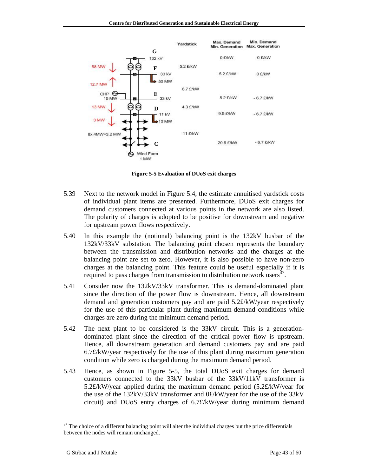

**Figure 5-5 Evaluation of DUoS exit charges** 

- 5.39 Next to the network model in Figure 5.4, the estimate annuitised yardstick costs of individual plant items are presented. Furthermore, DUoS exit charges for demand customers connected at various points in the network are also listed. The polarity of charges is adopted to be positive for downstream and negative for upstream power flows respectively.
- 5.40 In this example the (notional) balancing point is the 132kV busbar of the 132kV/33kV substation. The balancing point chosen represents the boundary between the transmission and distribution networks and the charges at the balancing point are set to zero. However, it is also possible to have non-zero charges at the balancing point. This feature could be useful especially if it is required to pass charges from transmission to distribution network users<sup>37</sup>.
- 5.41 Consider now the 132kV/33kV transformer. This is demand-dominated plant since the direction of the power flow is downstream. Hence, all downstream demand and generation customers pay and are paid 5.2£/kW/year respectively for the use of this particular plant during maximum-demand conditions while charges are zero during the minimum demand period.
- 5.42 The next plant to be considered is the 33kV circuit. This is a generationdominated plant since the direction of the critical power flow is upstream. Hence, all downstream generation and demand customers pay and are paid 6.7£/kW/year respectively for the use of this plant during maximum generation condition while zero is charged during the maximum demand period.
- 5.43 Hence, as shown in Figure 5-5, the total DUoS exit charges for demand customers connected to the 33kV busbar of the 33kV/11kV transformer is 5.2£/kW/year applied during the maximum demand period (5.2£/kW/year for the use of the 132kV/33kV transformer and 0£/kW/year for the use of the 33kV circuit) and DUoS entry charges of 6.7£/kW/year during minimum demand

 $37$  The choice of a different balancing point will alter the individual charges but the price differentials between the nodes will remain unchanged.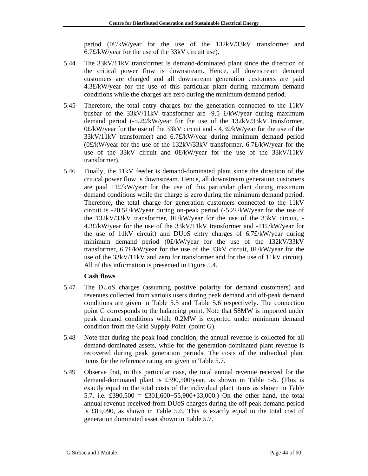period (0£/kW/year for the use of the 132kV/33kV transformer and 6.7£/kW/year for the use of the 33kV circuit use).

- 5.44 The 33kV/11kV transformer is demand-dominated plant since the direction of the critical power flow is downstream. Hence, all downstream demand customers are charged and all downstream generation customers are paid 4.3£/kW/year for the use of this particular plant during maximum demand conditions while the charges are zero during the minimum demand period.
- 5.45 Therefore, the total entry charges for the generation connected to the 11kV busbar of the 33kV/11kV transformer are -9.5 £/kW/year during maximum demand period (-5.2£/kW/year for the use of the 132kV/33kV transformer, 0£/kW/year for the use of the 33kV circuit and - 4.3£/kW/year for the use of the 33kV/11kV transformer) and 6.7£/kW/year during minimum demand period (0£/kW/year for the use of the 132kV/33kV transformer, 6.7£/kW/year for the use of the 33kV circuit and 0£/kW/year for the use of the 33kV/11kV transformer).
- 5.46 Finally, the 11kV feeder is demand-dominated plant since the direction of the critical power flow is downstream. Hence, all downstream generation customers are paid 11£/kW/year for the use of this particular plant during maximum demand conditions while the charge is zero during the minimum demand period. Therefore, the total charge for generation customers connected to the 11kV circuit is -20.5£/kW/year during on-peak period (-5.2£/kW/year for the use of the 132kV/33kV transformer, 0£/kW/year for the use of the 33kV circuit, - 4.3£/kW/year for the use of the 33kV/11kV transformer and -11£/kW/year for the use of 11kV circuit) and DUoS entry charges of 6.7£/kW/year during minimum demand period (0£/kW/year for the use of the 132kV/33kV transformer, 6.7£/kW/year for the use of the 33kV circuit, 0£/kW/year for the use of the 33kV/11kV and zero for transformer and for the use of 11kV circuit). All of this information is presented in Figure 5.4.

#### **Cash flows**

- 5.47 The DUoS charges (assuming positive polarity for demand customers) and revenues collected from various users during peak demand and off-peak demand conditions are given in Table 5.5 and Table 5.6 respectively. The connection point G corresponds to the balancing point. Note that 58MW is imported under peak demand conditions while 0.2MW is exported under minimum demand condition from the Grid Supply Point (point G).
- 5.48 Note that during the peak load condition, the annual revenue is collected for all demand-dominated assets, while for the generation-dominated plant revenue is recovered during peak generation periods. The costs of the individual plant items for the reference rating are given in Table 5.7.
- 5.49 Observe that, in this particular case, the total annual revenue received for the demand-dominated plant is £390,500/year, as shown in Table 5-5. (This is exactly equal to the total costs of the individual plant items as shown in Table 5.7, i.e. £390,500 = £301,600+55,900+33,000.) On the other hand, the total annual revenue received from DUoS charges during the off peak demand period is £85,090, as shown in Table 5.6. This is exactly equal to the total cost of generation dominated asset shown in Table 5.7.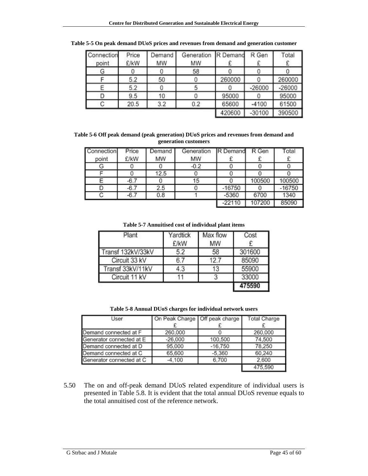| Connection<br>point | Price<br>£/kW | Demand<br>MW | Generation<br>MW | R Demand | R Gen    | Total    |
|---------------------|---------------|--------------|------------------|----------|----------|----------|
| G                   | 0             | 0            | 58               |          |          |          |
|                     | 5.2           | 50           | U                | 260000   |          | 260000   |
|                     | 5.2           | 0            | 5                |          | $-26000$ | $-26000$ |
| D                   | 9.5           | 10           | 0                | 95000    |          | 95000    |
| С                   | 20.5          | 3.2          | 0.2              | 65600    | $-4100$  | 61500    |
|                     |               |              |                  | 420600   | $-30100$ | 390500   |

**Table 5-5 On peak demand DUoS prices and revenues from demand and generation customer** 

#### **Table 5-6 Off peak demand (peak generation) DUoS prices and revenues from demand and generation customers**

| Connection | Price  | Demand | Generation | <b>R</b> Demand | R Gen  | Total    |
|------------|--------|--------|------------|-----------------|--------|----------|
| point      | £/kW   | MW     | MW         |                 | £      |          |
| G          |        |        | $-0.2$     | U               |        |          |
|            |        | 12.5   |            |                 |        |          |
|            | $-6.7$ |        | 15         |                 | 100500 | 100500   |
|            | $-6.7$ | 2.5    |            | $-16750$        |        | $-16750$ |
|            | $-6.7$ | 0.8    |            | $-5360$         | 6700   | 1340     |
|            |        |        |            | $-22110$        | 107200 | 85090    |

**Table 5-7 Annuitised cost of individual plant items** 

| Plant             | Yardtick<br>£/kW | Max flow<br>MW | Cost   |
|-------------------|------------------|----------------|--------|
| Transf 132kV/33kV | 5.2              | 58             | 301600 |
| Circuit 33 kV     | 6.7              | 12.7           | 85090  |
| Fransf 33kV/11kV  | 4.3              | 13             | 55900  |
| Circuit 11 kV     |                  |                | 33000  |
|                   |                  |                | 475590 |

**Table 5-8 Annual DUoS charges for individual network users** 

| User                     | On Peak Charge   Off peak charge |           | <b>Total Charge</b> |
|--------------------------|----------------------------------|-----------|---------------------|
|                          |                                  |           |                     |
| Demand connected at F    | 260,000                          |           | 260,000             |
| Generator connected at E | $-26,000$                        | 100,500   | 74,500              |
| Demand connected at D    | 95,000                           | $-16.750$ | 78,250              |
| Demand connected at C    | 65,600                           | $-5,360$  | 60,240              |
| Generator connected at C | $-4,100$                         | 6,700     | 2,600               |
|                          |                                  |           | 475,590             |

5.50 The on and off-peak demand DUoS related expenditure of individual users is presented in Table 5.8. It is evident that the total annual DUoS revenue equals to the total annuitised cost of the reference network.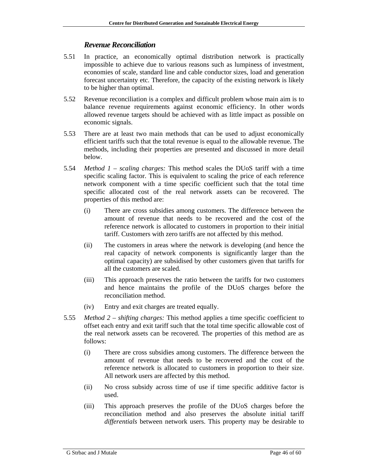#### *Revenue Reconciliation*

- 5.51 In practice, an economically optimal distribution network is practically impossible to achieve due to various reasons such as lumpiness of investment, economies of scale, standard line and cable conductor sizes, load and generation forecast uncertainty etc. Therefore, the capacity of the existing network is likely to be higher than optimal.
- 5.52 Revenue reconciliation is a complex and difficult problem whose main aim is to balance revenue requirements against economic efficiency. In other words allowed revenue targets should be achieved with as little impact as possible on economic signals.
- 5.53 There are at least two main methods that can be used to adjust economically efficient tariffs such that the total revenue is equal to the allowable revenue. The methods, including their properties are presented and discussed in more detail below.
- 5.54 *Method 1 scaling charges:* This method scales the DUoS tariff with a time specific scaling factor. This is equivalent to scaling the price of each reference network component with a time specific coefficient such that the total time specific allocated cost of the real network assets can be recovered. The properties of this method are:
	- (i) There are cross subsidies among customers. The difference between the amount of revenue that needs to be recovered and the cost of the reference network is allocated to customers in proportion to their initial tariff. Customers with zero tariffs are not affected by this method.
	- (ii) The customers in areas where the network is developing (and hence the real capacity of network components is significantly larger than the optimal capacity) are subsidised by other customers given that tariffs for all the customers are scaled.
	- (iii) This approach preserves the ratio between the tariffs for two customers and hence maintains the profile of the DUoS charges before the reconciliation method.
	- (iv) Entry and exit charges are treated equally.
- 5.55 *Method 2 shifting charges:* This method applies a time specific coefficient to offset each entry and exit tariff such that the total time specific allowable cost of the real network assets can be recovered. The properties of this method are as follows:
	- (i) There are cross subsidies among customers. The difference between the amount of revenue that needs to be recovered and the cost of the reference network is allocated to customers in proportion to their size. All network users are affected by this method.
	- (ii) No cross subsidy across time of use if time specific additive factor is used.
	- (iii) This approach preserves the profile of the DUoS charges before the reconciliation method and also preserves the absolute initial tariff *differentials* between network users. This property may be desirable to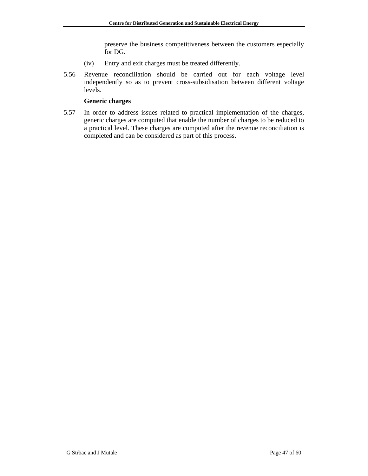preserve the business competitiveness between the customers especially for DG.

- (iv) Entry and exit charges must be treated differently.
- 5.56 Revenue reconciliation should be carried out for each voltage level independently so as to prevent cross-subsidisation between different voltage levels.

#### **Generic charges**

5.57 In order to address issues related to practical implementation of the charges, generic charges are computed that enable the number of charges to be reduced to a practical level. These charges are computed after the revenue reconciliation is completed and can be considered as part of this process.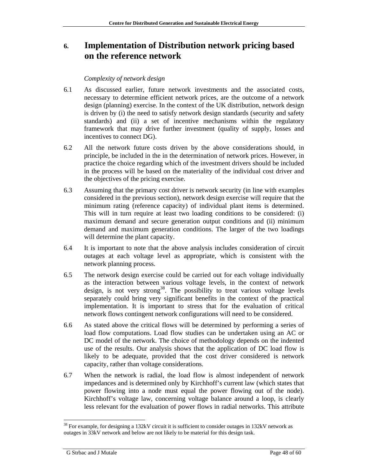# **6. Implementation of Distribution network pricing based on the reference network**

#### *Complexity of network design*

- 6.1 As discussed earlier, future network investments and the associated costs, necessary to determine efficient network prices, are the outcome of a network design (planning) exercise. In the context of the UK distribution, network design is driven by (i) the need to satisfy network design standards (security and safety standards) and (ii) a set of incentive mechanisms within the regulatory framework that may drive further investment (quality of supply, losses and incentives to connect DG).
- 6.2 All the network future costs driven by the above considerations should, in principle, be included in the in the determination of network prices. However, in practice the choice regarding which of the investment drivers should be included in the process will be based on the materiality of the individual cost driver and the objectives of the pricing exercise.
- 6.3 Assuming that the primary cost driver is network security (in line with examples considered in the previous section), network design exercise will require that the minimum rating (reference capacity) of individual plant items is determined. This will in turn require at least two loading conditions to be considered: (i) maximum demand and secure generation output conditions and (ii) minimum demand and maximum generation conditions. The larger of the two loadings will determine the plant capacity.
- 6.4 It is important to note that the above analysis includes consideration of circuit outages at each voltage level as appropriate, which is consistent with the network planning process.
- 6.5 The network design exercise could be carried out for each voltage individually as the interaction between various voltage levels, in the context of network design, is not very strong<sup>38</sup>. The possibility to treat various voltage levels separately could bring very significant benefits in the context of the practical implementation. It is important to stress that for the evaluation of critical network flows contingent network configurations will need to be considered.
- 6.6 As stated above the critical flows will be determined by performing a series of load flow computations. Load flow studies can be undertaken using an AC or DC model of the network. The choice of methodology depends on the indented use of the results. Our analysis shows that the application of DC load flow is likely to be adequate, provided that the cost driver considered is network capacity, rather than voltage considerations.
- 6.7 When the network is radial, the load flow is almost independent of network impedances and is determined only by Kirchhoff's current law (which states that power flowing into a node must equal the power flowing out of the node). Kirchhoff's voltage law, concerning voltage balance around a loop, is clearly less relevant for the evaluation of power flows in radial networks. This attribute

 $38$  For example, for designing a 132kV circuit it is sufficient to consider outages in 132kV network as outages in 33kV network and below are not likely to be material for this design task.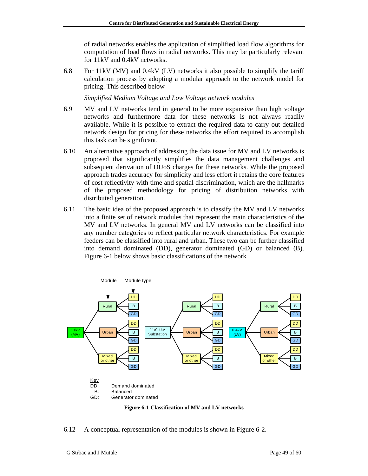of radial networks enables the application of simplified load flow algorithms for computation of load flows in radial networks. This may be particularly relevant for 11kV and 0.4kV networks.

6.8 For 11kV (MV) and 0.4kV (LV) networks it also possible to simplify the tariff calculation process by adopting a modular approach to the network model for pricing. This described below

*Simplified Medium Voltage and Low Voltage network modules* 

- 6.9 MV and LV networks tend in general to be more expansive than high voltage networks and furthermore data for these networks is not always readily available. While it is possible to extract the required data to carry out detailed network design for pricing for these networks the effort required to accomplish this task can be significant.
- 6.10 An alternative approach of addressing the data issue for MV and LV networks is proposed that significantly simplifies the data management challenges and subsequent derivation of DUoS charges for these networks. While the proposed approach trades accuracy for simplicity and less effort it retains the core features of cost reflectivity with time and spatial discrimination, which are the hallmarks of the proposed methodology for pricing of distribution networks with distributed generation.
- 6.11 The basic idea of the proposed approach is to classify the MV and LV networks into a finite set of network modules that represent the main characteristics of the MV and LV networks. In general MV and LV networks can be classified into any number categories to reflect particular network characteristics. For example feeders can be classified into rural and urban. These two can be further classified into demand dominated (DD), generator dominated (GD) or balanced (B). Figure 6-1 below shows basic classifications of the network



**Figure 6-1 Classification of MV and LV networks** 

6.12 A conceptual representation of the modules is shown in Figure 6-2.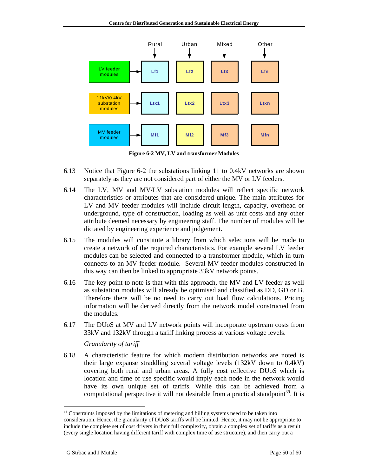

**Figure 6-2 MV, LV and transformer Modules**

- 6.13 Notice that Figure 6-2 the substations linking 11 to 0.4kV networks are shown separately as they are not considered part of either the MV or LV feeders.
- 6.14 The LV, MV and MV/LV substation modules will reflect specific network characteristics or attributes that are considered unique. The main attributes for LV and MV feeder modules will include circuit length, capacity, overhead or underground, type of construction, loading as well as unit costs and any other attribute deemed necessary by engineering staff. The number of modules will be dictated by engineering experience and judgement.
- 6.15 The modules will constitute a library from which selections will be made to create a network of the required characteristics. For example several LV feeder modules can be selected and connected to a transformer module, which in turn connects to an MV feeder module. Several MV feeder modules constructed in this way can then be linked to appropriate 33kV network points.
- 6.16 The key point to note is that with this approach, the MV and LV feeder as well as substation modules will already be optimised and classified as DD, GD or B. Therefore there will be no need to carry out load flow calculations. Pricing information will be derived directly from the network model constructed from the modules.
- 6.17 The DUoS at MV and LV network points will incorporate upstream costs from 33kV and 132kV through a tariff linking process at various voltage levels.

#### *Granularity of tariff*

6.18 A characteristic feature for which modern distribution networks are noted is their large expanse straddling several voltage levels (132kV down to 0.4kV) covering both rural and urban areas. A fully cost reflective DUoS which is location and time of use specific would imply each node in the network would have its own unique set of tariffs. While this can be achieved from a computational perspective it will not desirable from a practical standpoint<sup>39</sup>. It is

<sup>&</sup>lt;sup>39</sup> Constraints imposed by the limitations of metering and billing systems need to be taken into consideration. Hence, the granularity of DUoS tariffs will be limited. Hence, it may not be appropriate to include the complete set of cost drivers in their full complexity, obtain a complex set of tariffs as a result (every single location having different tariff with complex time of use structure), and then carry out a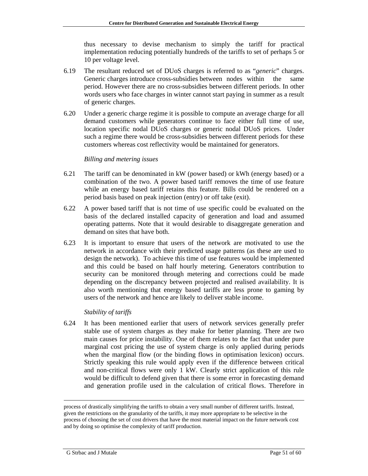thus necessary to devise mechanism to simply the tariff for practical implementation reducing potentially hundreds of the tariffs to set of perhaps 5 or 10 per voltage level.

- 6.19 The resultant reduced set of DUoS charges is referred to as "*generic*" charges. Generic charges introduce cross-subsidies between nodes within the same period. However there are no cross-subsidies between different periods. In other words users who face charges in winter cannot start paying in summer as a result of generic charges.
- 6.20 Under a generic charge regime it is possible to compute an average charge for all demand customers while generators continue to face either full time of use, location specific nodal DUoS charges or generic nodal DUoS prices. Under such a regime there would be cross-subsidies between different periods for these customers whereas cost reflectivity would be maintained for generators.

#### *Billing and metering issues*

- 6.21 The tariff can be denominated in kW (power based) or kWh (energy based) or a combination of the two. A power based tariff removes the time of use feature while an energy based tariff retains this feature. Bills could be rendered on a period basis based on peak injection (entry) or off take (exit).
- 6.22 A power based tariff that is not time of use specific could be evaluated on the basis of the declared installed capacity of generation and load and assumed operating patterns. Note that it would desirable to disaggregate generation and demand on sites that have both.
- 6.23 It is important to ensure that users of the network are motivated to use the network in accordance with their predicted usage patterns (as these are used to design the network). To achieve this time of use features would be implemented and this could be based on half hourly metering. Generators contribution to security can be monitored through metering and corrections could be made depending on the discrepancy between projected and realised availability. It is also worth mentioning that energy based tariffs are less prone to gaming by users of the network and hence are likely to deliver stable income.

#### *Stability of tariffs*

6.24 It has been mentioned earlier that users of network services generally prefer stable use of system charges as they make for better planning. There are two main causes for price instability. One of them relates to the fact that under pure marginal cost pricing the use of system charge is only applied during periods when the marginal flow (or the binding flows in optimisation lexicon) occurs. Strictly speaking this rule would apply even if the difference between critical and non-critical flows were only 1 kW. Clearly strict application of this rule would be difficult to defend given that there is some error in forecasting demand and generation profile used in the calculation of critical flows. Therefore in

process of drastically simplifying the tariffs to obtain a very small number of different tariffs. Instead, given the restrictions on the granularity of the tariffs, it may more appropriate to be selective in the process of choosing the set of cost drivers that have the most material impact on the future network cost and by doing so optimise the complexity of tariff production.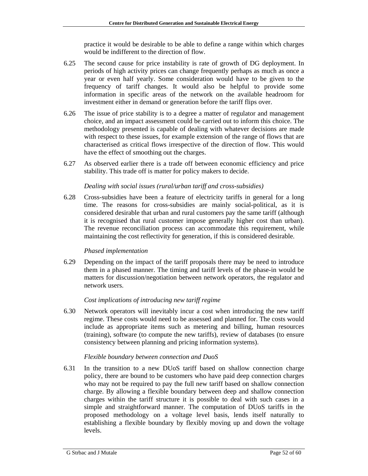practice it would be desirable to be able to define a range within which charges would be indifferent to the direction of flow.

- 6.25 The second cause for price instability is rate of growth of DG deployment. In periods of high activity prices can change frequently perhaps as much as once a year or even half yearly. Some consideration would have to be given to the frequency of tariff changes. It would also be helpful to provide some information in specific areas of the network on the available headroom for investment either in demand or generation before the tariff flips over.
- 6.26 The issue of price stability is to a degree a matter of regulator and management choice, and an impact assessment could be carried out to inform this choice. The methodology presented is capable of dealing with whatever decisions are made with respect to these issues, for example extension of the range of flows that are characterised as critical flows irrespective of the direction of flow. This would have the effect of smoothing out the charges.
- 6.27 As observed earlier there is a trade off between economic efficiency and price stability. This trade off is matter for policy makers to decide.

#### *Dealing with social issues (rural/urban tariff and cross-subsidies)*

6.28 Cross-subsidies have been a feature of electricity tariffs in general for a long time. The reasons for cross-subsidies are mainly social-political, as it is considered desirable that urban and rural customers pay the same tariff (although it is recognised that rural customer impose generally higher cost than urban). The revenue reconciliation process can accommodate this requirement, while maintaining the cost reflectivity for generation, if this is considered desirable.

#### *Phased implementation*

6.29 Depending on the impact of the tariff proposals there may be need to introduce them in a phased manner. The timing and tariff levels of the phase-in would be matters for discussion/negotiation between network operators, the regulator and network users.

#### *Cost implications of introducing new tariff regime*

6.30 Network operators will inevitably incur a cost when introducing the new tariff regime. These costs would need to be assessed and planned for. The costs would include as appropriate items such as metering and billing, human resources (training), software (to compute the new tariffs), review of databases (to ensure consistency between planning and pricing information systems).

#### *Flexible boundary between connection and DuoS*

6.31 In the transition to a new DUoS tariff based on shallow connection charge policy, there are bound to be customers who have paid deep connection charges who may not be required to pay the full new tariff based on shallow connection charge. By allowing a flexible boundary between deep and shallow connection charges within the tariff structure it is possible to deal with such cases in a simple and straightforward manner. The computation of DUoS tariffs in the proposed methodology on a voltage level basis, lends itself naturally to establishing a flexible boundary by flexibly moving up and down the voltage levels.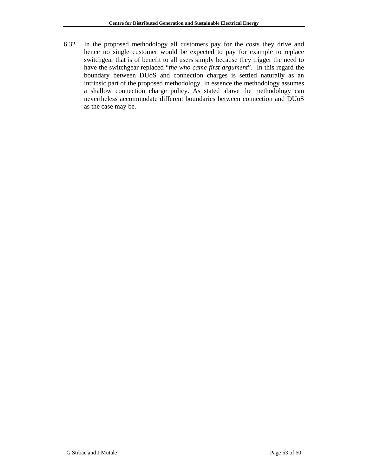6.32 In the proposed methodology all customers pay for the costs they drive and hence no single customer would be expected to pay for example to replace switchgear that is of benefit to all users simply because they trigger the need to have the switchgear replaced "*the who came first argument*". In this regard the boundary between DUoS and connection charges is settled naturally as an intrinsic part of the proposed methodology. In essence the methodology assumes a shallow connection charge policy. As stated above the methodology can nevertheless accommodate different boundaries between connection and DUoS as the case may be.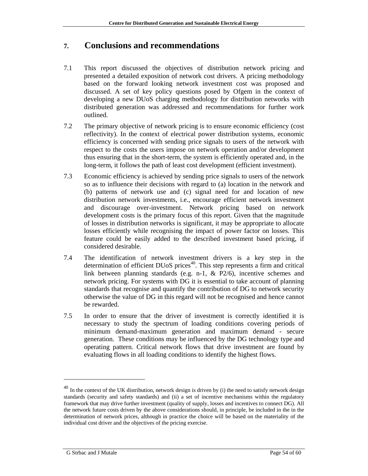# **7. Conclusions and recommendations**

- 7.1 This report discussed the objectives of distribution network pricing and presented a detailed exposition of network cost drivers. A pricing methodology based on the forward looking network investment cost was proposed and discussed. A set of key policy questions posed by Ofgem in the context of developing a new DUoS charging methodology for distribution networks with distributed generation was addressed and recommendations for further work outlined.
- 7.2 The primary objective of network pricing is to ensure economic efficiency (cost reflectivity). In the context of electrical power distribution systems, economic efficiency is concerned with sending price signals to users of the network with respect to the costs the users impose on network operation and/or development thus ensuring that in the short-term, the system is efficiently operated and, in the long-term, it follows the path of least cost development (efficient investment).
- 7.3 Economic efficiency is achieved by sending price signals to users of the network so as to influence their decisions with regard to (a) location in the network and (b) patterns of network use and (c) signal need for and location of new distribution network investments, i.e., encourage efficient network investment and discourage over-investment. Network pricing based on network development costs is the primary focus of this report. Given that the magnitude of losses in distribution networks is significant, it may be appropriate to allocate losses efficiently while recognising the impact of power factor on losses. This feature could be easily added to the described investment based pricing, if considered desirable.
- 7.4 The identification of network investment drivers is a key step in the determination of efficient DUoS prices<sup> $40$ </sup>. This step represents a firm and critical link between planning standards (e.g. n-1,  $\&$  P2/6), incentive schemes and network pricing. For systems with DG it is essential to take account of planning standards that recognise and quantify the contribution of DG to network security otherwise the value of DG in this regard will not be recognised and hence cannot be rewarded.
- 7.5 In order to ensure that the driver of investment is correctly identified it is necessary to study the spectrum of loading conditions covering periods of minimum demand-maximum generation and maximum demand - secure generation. These conditions may be influenced by the DG technology type and operating pattern. Critical network flows that drive investment are found by evaluating flows in all loading conditions to identify the highest flows.

 $^{40}$  In the context of the UK distribution, network design is driven by (i) the need to satisfy network design standards (security and safety standards) and (ii) a set of incentive mechanisms within the regulatory framework that may drive further investment (quality of supply, losses and incentives to connect DG). All the network future costs driven by the above considerations should, in principle, be included in the in the determination of network prices, although in practice the choice will be based on the materiality of the individual cost driver and the objectives of the pricing exercise.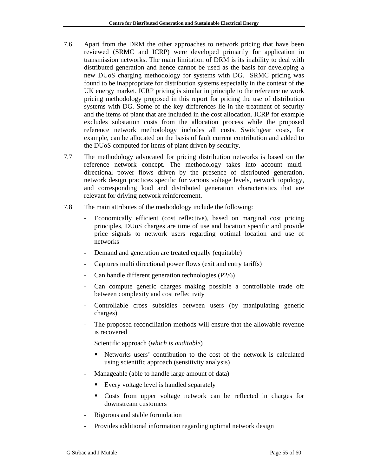- 7.6 Apart from the DRM the other approaches to network pricing that have been reviewed (SRMC and ICRP) were developed primarily for application in transmission networks. The main limitation of DRM is its inability to deal with distributed generation and hence cannot be used as the basis for developing a new DUoS charging methodology for systems with DG. SRMC pricing was found to be inappropriate for distribution systems especially in the context of the UK energy market. ICRP pricing is similar in principle to the reference network pricing methodology proposed in this report for pricing the use of distribution systems with DG. Some of the key differences lie in the treatment of security and the items of plant that are included in the cost allocation. ICRP for example excludes substation costs from the allocation process while the proposed reference network methodology includes all costs. Switchgear costs, for example, can be allocated on the basis of fault current contribution and added to the DUoS computed for items of plant driven by security.
- 7.7 The methodology advocated for pricing distribution networks is based on the reference network concept. The methodology takes into account multidirectional power flows driven by the presence of distributed generation, network design practices specific for various voltage levels, network topology, and corresponding load and distributed generation characteristics that are relevant for driving network reinforcement.
- 7.8 The main attributes of the methodology include the following:
	- Economically efficient (cost reflective), based on marginal cost pricing principles, DUoS charges are time of use and location specific and provide price signals to network users regarding optimal location and use of networks
	- Demand and generation are treated equally (equitable)
	- Captures multi directional power flows (exit and entry tariffs)
	- Can handle different generation technologies (P2/6)
	- Can compute generic charges making possible a controllable trade off between complexity and cost reflectivity
	- Controllable cross subsidies between users (by manipulating generic charges)
	- The proposed reconciliation methods will ensure that the allowable revenue is recovered
	- Scientific approach (*which is auditable*)
		- Networks users' contribution to the cost of the network is calculated using scientific approach (sensitivity analysis)
	- Manageable (able to handle large amount of data)
		- Every voltage level is handled separately
		- Costs from upper voltage network can be reflected in charges for downstream customers
	- Rigorous and stable formulation
	- Provides additional information regarding optimal network design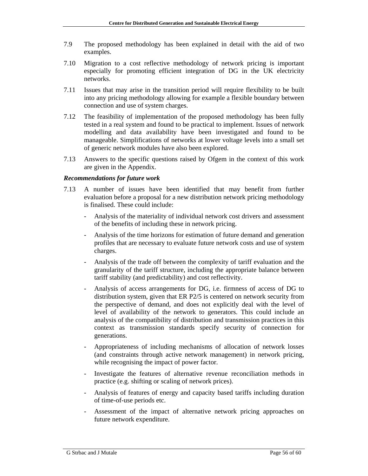- 7.9 The proposed methodology has been explained in detail with the aid of two examples.
- 7.10 Migration to a cost reflective methodology of network pricing is important especially for promoting efficient integration of DG in the UK electricity networks.
- 7.11 Issues that may arise in the transition period will require flexibility to be built into any pricing methodology allowing for example a flexible boundary between connection and use of system charges.
- 7.12 The feasibility of implementation of the proposed methodology has been fully tested in a real system and found to be practical to implement. Issues of network modelling and data availability have been investigated and found to be manageable. Simplifications of networks at lower voltage levels into a small set of generic network modules have also been explored.
- 7.13 Answers to the specific questions raised by Ofgem in the context of this work are given in the Appendix.

#### *Recommendations for future work*

- 7.13 A number of issues have been identified that may benefit from further evaluation before a proposal for a new distribution network pricing methodology is finalised. These could include:
	- Analysis of the materiality of individual network cost drivers and assessment of the benefits of including these in network pricing.
	- Analysis of the time horizons for estimation of future demand and generation profiles that are necessary to evaluate future network costs and use of system charges.
	- Analysis of the trade off between the complexity of tariff evaluation and the granularity of the tariff structure, including the appropriate balance between tariff stability (and predictability) and cost reflectivity.
	- Analysis of access arrangements for DG, i.e. firmness of access of DG to distribution system, given that ER P2/5 is centered on network security from the perspective of demand, and does not explicitly deal with the level of level of availability of the network to generators. This could include an analysis of the compatibility of distribution and transmission practices in this context as transmission standards specify security of connection for generations.
	- Appropriateness of including mechanisms of allocation of network losses (and constraints through active network management) in network pricing, while recognising the impact of power factor.
	- Investigate the features of alternative revenue reconciliation methods in practice (e.g. shifting or scaling of network prices).
	- Analysis of features of energy and capacity based tariffs including duration of time-of-use periods etc.
	- Assessment of the impact of alternative network pricing approaches on future network expenditure.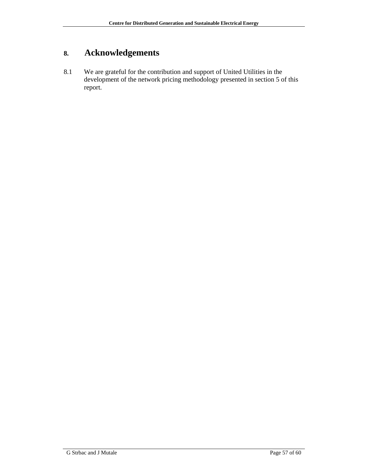# **8. Acknowledgements**

8.1 We are grateful for the contribution and support of United Utilities in the development of the network pricing methodology presented in section 5 of this report.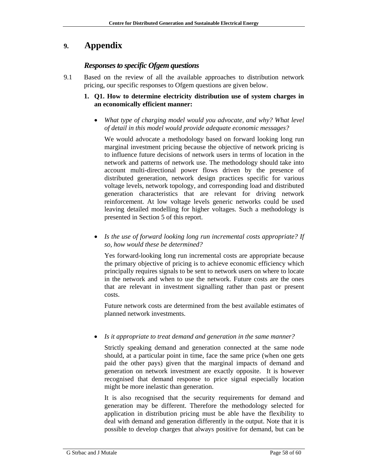# **9. Appendix**

### *Responses to specific Ofgem questions*

9.1 Based on the review of all the available approaches to distribution network pricing, our specific responses to Ofgem questions are given below.

#### **1. Q1. How to determine electricity distribution use of system charges in an economically efficient manner:**

• *What type of charging model would you advocate, and why? What level of detail in this model would provide adequate economic messages?* 

We would advocate a methodology based on forward looking long run marginal investment pricing because the objective of network pricing is to influence future decisions of network users in terms of location in the network and patterns of network use. The methodology should take into account multi-directional power flows driven by the presence of distributed generation, network design practices specific for various voltage levels, network topology, and corresponding load and distributed generation characteristics that are relevant for driving network reinforcement. At low voltage levels generic networks could be used leaving detailed modelling for higher voltages. Such a methodology is presented in Section 5 of this report.

• *Is the use of forward looking long run incremental costs appropriate? If so, how would these be determined?* 

Yes forward-looking long run incremental costs are appropriate because the primary objective of pricing is to achieve economic efficiency which principally requires signals to be sent to network users on where to locate in the network and when to use the network. Future costs are the ones that are relevant in investment signalling rather than past or present costs.

Future network costs are determined from the best available estimates of planned network investments.

#### • *Is it appropriate to treat demand and generation in the same manner?*

Strictly speaking demand and generation connected at the same node should, at a particular point in time, face the same price (when one gets paid the other pays) given that the marginal impacts of demand and generation on network investment are exactly opposite. It is however recognised that demand response to price signal especially location might be more inelastic than generation.

It is also recognised that the security requirements for demand and generation may be different. Therefore the methodology selected for application in distribution pricing must be able have the flexibility to deal with demand and generation differently in the output. Note that it is possible to develop charges that always positive for demand, but can be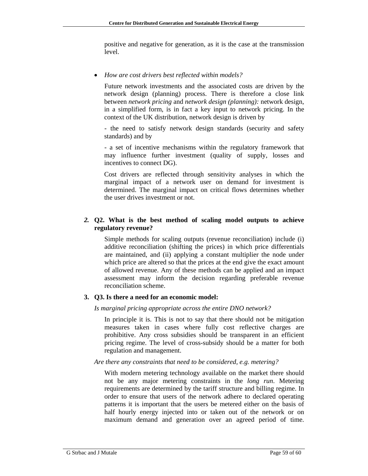positive and negative for generation, as it is the case at the transmission level.

• *How are cost drivers best reflected within models?*

Future network investments and the associated costs are driven by the network design (planning) process. There is therefore a close link between *network pricing* and *network design (planning):* network design, in a simplified form, is in fact a key input to network pricing. In the context of the UK distribution, network design is driven by

- the need to satisfy network design standards (security and safety standards) and by

- a set of incentive mechanisms within the regulatory framework that may influence further investment (quality of supply, losses and incentives to connect DG).

Cost drivers are reflected through sensitivity analyses in which the marginal impact of a network user on demand for investment is determined. The marginal impact on critical flows determines whether the user drives investment or not.

#### *2.* **Q2. What is the best method of scaling model outputs to achieve regulatory revenue?**

Simple methods for scaling outputs (revenue reconciliation) include (i) additive reconciliation (shifting the prices) in which price differentials are maintained, and (ii) applying a constant multiplier the node under which price are altered so that the prices at the end give the exact amount of allowed revenue. Any of these methods can be applied and an impact assessment may inform the decision regarding preferable revenue reconciliation scheme.

#### **3. Q3. Is there a need for an economic model:**

#### *Is marginal pricing appropriate across the entire DNO network?*

In principle it is. This is not to say that there should not be mitigation measures taken in cases where fully cost reflective charges are prohibitive. Any cross subsidies should be transparent in an efficient pricing regime. The level of cross-subsidy should be a matter for both regulation and management.

#### *Are there any constraints that need to be considered, e.g. metering?*

With modern metering technology available on the market there should not be any major metering constraints in the *long run*. Metering requirements are determined by the tariff structure and billing regime. In order to ensure that users of the network adhere to declared operating patterns it is important that the users be metered either on the basis of half hourly energy injected into or taken out of the network or on maximum demand and generation over an agreed period of time.